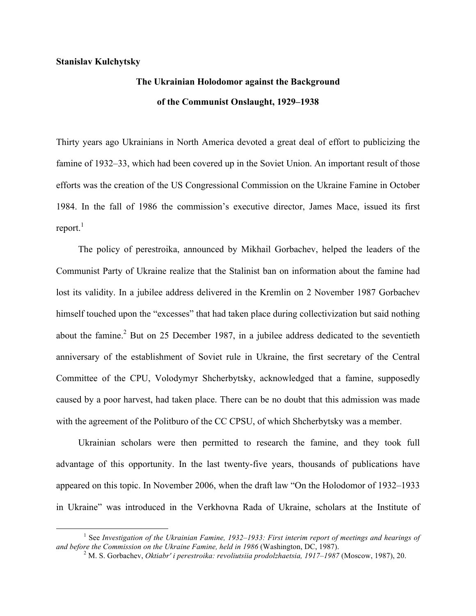### **Stanislav Kulchytsky**

<u> 1989 - Johann Barn, mars ann an t-Amhain an t-Amhain an t-Amhain an t-Amhain an t-Amhain an t-Amhain an t-Amh</u>

# **The Ukrainian Holodomor against the Background of the Communist Onslaught, 1929–1938**

Thirty years ago Ukrainians in North America devoted a great deal of effort to publicizing the famine of 1932–33, which had been covered up in the Soviet Union. An important result of those efforts was the creation of the US Congressional Commission on the Ukraine Famine in October 1984. In the fall of 1986 the commission's executive director, James Mace, issued its first report. $1$ 

The policy of perestroika, announced by Mikhail Gorbachev, helped the leaders of the Communist Party of Ukraine realize that the Stalinist ban on information about the famine had lost its validity. In a jubilee address delivered in the Kremlin on 2 November 1987 Gorbachev himself touched upon the "excesses" that had taken place during collectivization but said nothing about the famine.<sup>2</sup> But on 25 December 1987, in a jubilee address dedicated to the seventieth anniversary of the establishment of Soviet rule in Ukraine, the first secretary of the Central Committee of the CPU, Volodymyr Shcherbytsky, acknowledged that a famine, supposedly caused by a poor harvest, had taken place. There can be no doubt that this admission was made with the agreement of the Politburo of the CC CPSU, of which Shcherbytsky was a member.

Ukrainian scholars were then permitted to research the famine, and they took full advantage of this opportunity. In the last twenty-five years, thousands of publications have appeared on this topic. In November 2006, when the draft law "On the Holodomor of 1932–1933 in Ukraine" was introduced in the Verkhovna Rada of Ukraine, scholars at the Institute of

<sup>1</sup> See *Investigation of the Ukrainian Famine, 1932–1933: First interim report of meetings and hearings of*  and before the Commission on the Ukraine Famine, held in 1986 (Washington, DC, 1987).<br><sup>2</sup> M. S. Gorbachev, *Oktiabr' i perestroika: revoliutsiia prodolzhaetsia, 1917–1987* (Moscow, 1987), 20.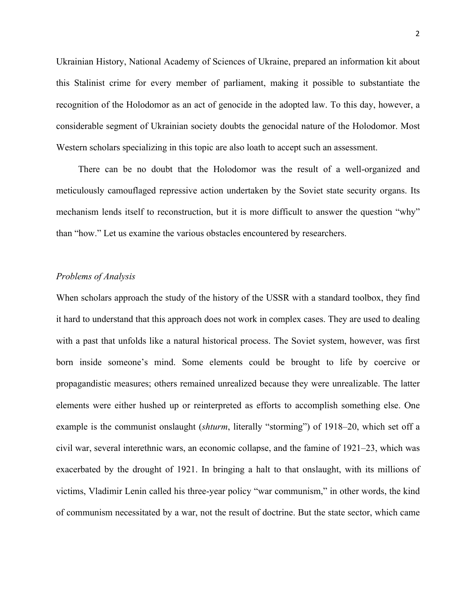Ukrainian History, National Academy of Sciences of Ukraine, prepared an information kit about this Stalinist crime for every member of parliament, making it possible to substantiate the recognition of the Holodomor as an act of genocide in the adopted law. To this day, however, a considerable segment of Ukrainian society doubts the genocidal nature of the Holodomor. Most Western scholars specializing in this topic are also loath to accept such an assessment.

There can be no doubt that the Holodomor was the result of a well-organized and meticulously camouflaged repressive action undertaken by the Soviet state security organs. Its mechanism lends itself to reconstruction, but it is more difficult to answer the question "why" than "how." Let us examine the various obstacles encountered by researchers.

## *Problems of Analysis*

When scholars approach the study of the history of the USSR with a standard toolbox, they find it hard to understand that this approach does not work in complex cases. They are used to dealing with a past that unfolds like a natural historical process. The Soviet system, however, was first born inside someone's mind. Some elements could be brought to life by coercive or propagandistic measures; others remained unrealized because they were unrealizable. The latter elements were either hushed up or reinterpreted as efforts to accomplish something else. One example is the communist onslaught (*shturm*, literally "storming") of 1918–20, which set off a civil war, several interethnic wars, an economic collapse, and the famine of 1921–23, which was exacerbated by the drought of 1921. In bringing a halt to that onslaught, with its millions of victims, Vladimir Lenin called his three-year policy "war communism," in other words, the kind of communism necessitated by a war, not the result of doctrine. But the state sector, which came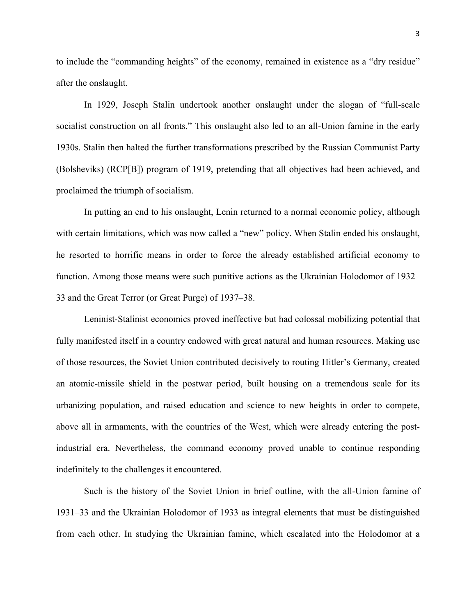to include the "commanding heights" of the economy, remained in existence as a "dry residue" after the onslaught.

In 1929, Joseph Stalin undertook another onslaught under the slogan of "full-scale socialist construction on all fronts." This onslaught also led to an all-Union famine in the early 1930s. Stalin then halted the further transformations prescribed by the Russian Communist Party (Bolsheviks) (RCP[B]) program of 1919, pretending that all objectives had been achieved, and proclaimed the triumph of socialism.

In putting an end to his onslaught, Lenin returned to a normal economic policy, although with certain limitations, which was now called a "new" policy. When Stalin ended his onslaught, he resorted to horrific means in order to force the already established artificial economy to function. Among those means were such punitive actions as the Ukrainian Holodomor of 1932– 33 and the Great Terror (or Great Purge) of 1937–38.

Leninist-Stalinist economics proved ineffective but had colossal mobilizing potential that fully manifested itself in a country endowed with great natural and human resources. Making use of those resources, the Soviet Union contributed decisively to routing Hitler's Germany, created an atomic-missile shield in the postwar period, built housing on a tremendous scale for its urbanizing population, and raised education and science to new heights in order to compete, above all in armaments, with the countries of the West, which were already entering the postindustrial era. Nevertheless, the command economy proved unable to continue responding indefinitely to the challenges it encountered.

Such is the history of the Soviet Union in brief outline, with the all-Union famine of 1931–33 and the Ukrainian Holodomor of 1933 as integral elements that must be distinguished from each other. In studying the Ukrainian famine, which escalated into the Holodomor at a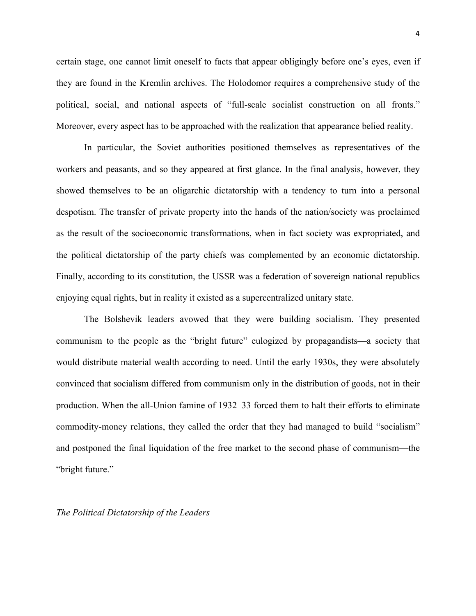certain stage, one cannot limit oneself to facts that appear obligingly before one's eyes, even if they are found in the Kremlin archives. The Holodomor requires a comprehensive study of the political, social, and national aspects of "full-scale socialist construction on all fronts." Moreover, every aspect has to be approached with the realization that appearance belied reality.

In particular, the Soviet authorities positioned themselves as representatives of the workers and peasants, and so they appeared at first glance. In the final analysis, however, they showed themselves to be an oligarchic dictatorship with a tendency to turn into a personal despotism. The transfer of private property into the hands of the nation/society was proclaimed as the result of the socioeconomic transformations, when in fact society was expropriated, and the political dictatorship of the party chiefs was complemented by an economic dictatorship. Finally, according to its constitution, the USSR was a federation of sovereign national republics enjoying equal rights, but in reality it existed as a supercentralized unitary state.

The Bolshevik leaders avowed that they were building socialism. They presented communism to the people as the "bright future" eulogized by propagandists—a society that would distribute material wealth according to need. Until the early 1930s, they were absolutely convinced that socialism differed from communism only in the distribution of goods, not in their production. When the all-Union famine of 1932–33 forced them to halt their efforts to eliminate commodity-money relations, they called the order that they had managed to build "socialism" and postponed the final liquidation of the free market to the second phase of communism—the "bright future."

*The Political Dictatorship of the Leaders*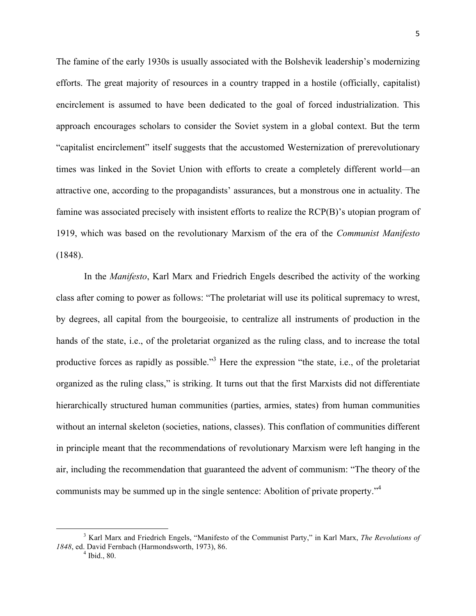The famine of the early 1930s is usually associated with the Bolshevik leadership's modernizing efforts. The great majority of resources in a country trapped in a hostile (officially, capitalist) encirclement is assumed to have been dedicated to the goal of forced industrialization. This approach encourages scholars to consider the Soviet system in a global context. But the term "capitalist encirclement" itself suggests that the accustomed Westernization of prerevolutionary times was linked in the Soviet Union with efforts to create a completely different world—an attractive one, according to the propagandists' assurances, but a monstrous one in actuality. The famine was associated precisely with insistent efforts to realize the RCP(B)'s utopian program of 1919, which was based on the revolutionary Marxism of the era of the *Communist Manifesto* (1848).

In the *Manifesto*, Karl Marx and Friedrich Engels described the activity of the working class after coming to power as follows: "The proletariat will use its political supremacy to wrest, by degrees, all capital from the bourgeoisie, to centralize all instruments of production in the hands of the state, i.e., of the proletariat organized as the ruling class, and to increase the total productive forces as rapidly as possible."3 Here the expression "the state, i.e., of the proletariat organized as the ruling class," is striking. It turns out that the first Marxists did not differentiate hierarchically structured human communities (parties, armies, states) from human communities without an internal skeleton (societies, nations, classes). This conflation of communities different in principle meant that the recommendations of revolutionary Marxism were left hanging in the air, including the recommendation that guaranteed the advent of communism: "The theory of the communists may be summed up in the single sentence: Abolition of private property."<sup>4</sup>

<sup>3</sup> Karl Marx and Friedrich Engels, "Manifesto of the Communist Party," in Karl Marx, *The Revolutions of 1848*, ed. David Fernbach (Harmondsworth, 1973), 86.<br><sup>4</sup> Ibid., 80.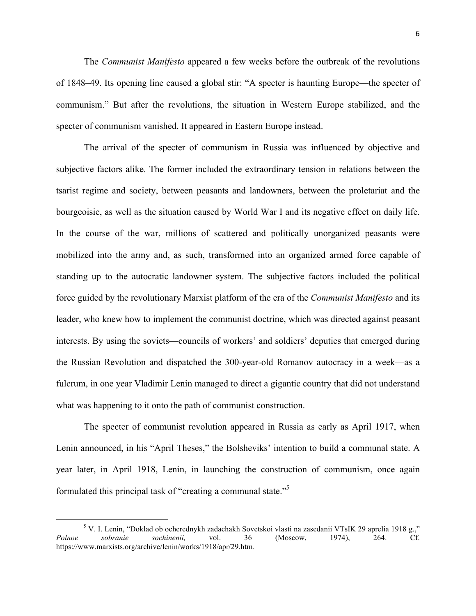The *Communist Manifesto* appeared a few weeks before the outbreak of the revolutions of 1848–49. Its opening line caused a global stir: "A specter is haunting Europe—the specter of communism." But after the revolutions, the situation in Western Europe stabilized, and the specter of communism vanished. It appeared in Eastern Europe instead.

The arrival of the specter of communism in Russia was influenced by objective and subjective factors alike. The former included the extraordinary tension in relations between the tsarist regime and society, between peasants and landowners, between the proletariat and the bourgeoisie, as well as the situation caused by World War I and its negative effect on daily life. In the course of the war, millions of scattered and politically unorganized peasants were mobilized into the army and, as such, transformed into an organized armed force capable of standing up to the autocratic landowner system. The subjective factors included the political force guided by the revolutionary Marxist platform of the era of the *Communist Manifesto* and its leader, who knew how to implement the communist doctrine, which was directed against peasant interests. By using the soviets—councils of workers' and soldiers' deputies that emerged during the Russian Revolution and dispatched the 300-year-old Romanov autocracy in a week—as a fulcrum, in one year Vladimir Lenin managed to direct a gigantic country that did not understand what was happening to it onto the path of communist construction.

The specter of communist revolution appeared in Russia as early as April 1917, when Lenin announced, in his "April Theses," the Bolsheviks' intention to build a communal state. A year later, in April 1918, Lenin, in launching the construction of communism, once again formulated this principal task of "creating a communal state."5

<sup>5</sup> V. I. Lenin, "Doklad ob ocherednykh zadachakh Sovetskoi vlasti na zasedanii VTsIK 29 aprelia 1918 g.," *Polnoe sobranie sochinenii,* vol. 36 (Moscow, 1974), 264. Cf. https://www.marxists.org/archive/lenin/works/1918/apr/29.htm.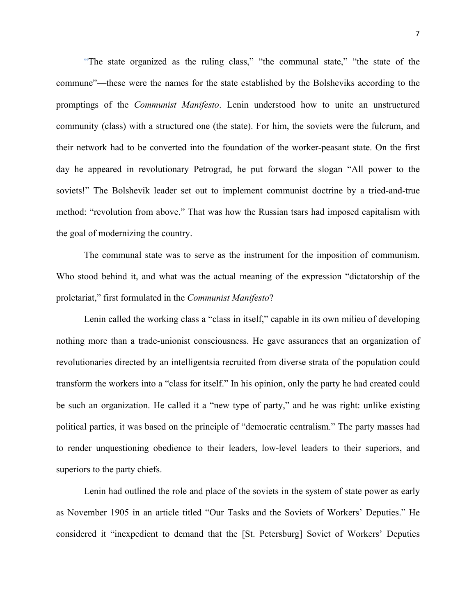"The state organized as the ruling class," "the communal state," "the state of the commune"—these were the names for the state established by the Bolsheviks according to the promptings of the *Communist Manifesto*. Lenin understood how to unite an unstructured community (class) with a structured one (the state). For him, the soviets were the fulcrum, and their network had to be converted into the foundation of the worker-peasant state. On the first day he appeared in revolutionary Petrograd, he put forward the slogan "All power to the soviets!" The Bolshevik leader set out to implement communist doctrine by a tried-and-true method: "revolution from above." That was how the Russian tsars had imposed capitalism with the goal of modernizing the country.

The communal state was to serve as the instrument for the imposition of communism. Who stood behind it, and what was the actual meaning of the expression "dictatorship of the proletariat," first formulated in the *Communist Manifesto*?

Lenin called the working class a "class in itself," capable in its own milieu of developing nothing more than a trade-unionist consciousness. He gave assurances that an organization of revolutionaries directed by an intelligentsia recruited from diverse strata of the population could transform the workers into a "class for itself." In his opinion, only the party he had created could be such an organization. He called it a "new type of party," and he was right: unlike existing political parties, it was based on the principle of "democratic centralism." The party masses had to render unquestioning obedience to their leaders, low-level leaders to their superiors, and superiors to the party chiefs.

Lenin had outlined the role and place of the soviets in the system of state power as early as November 1905 in an article titled "Our Tasks and the Soviets of Workers' Deputies." He considered it "inexpedient to demand that the [St. Petersburg] Soviet of Workers' Deputies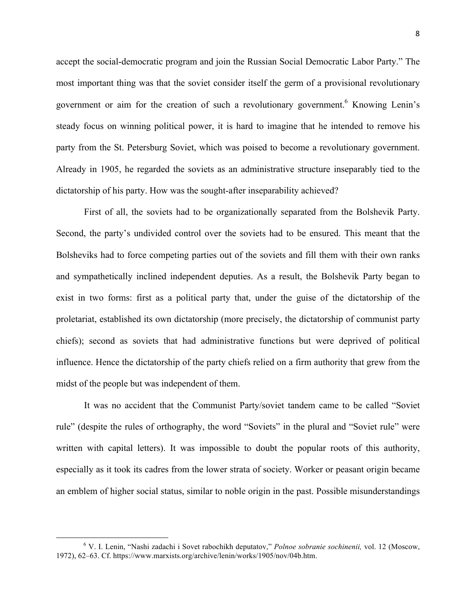accept the social-democratic program and join the Russian Social Democratic Labor Party." The most important thing was that the soviet consider itself the germ of a provisional revolutionary government or aim for the creation of such a revolutionary government.<sup>6</sup> Knowing Lenin's steady focus on winning political power, it is hard to imagine that he intended to remove his party from the St. Petersburg Soviet, which was poised to become a revolutionary government. Already in 1905, he regarded the soviets as an administrative structure inseparably tied to the dictatorship of his party. How was the sought-after inseparability achieved?

First of all, the soviets had to be organizationally separated from the Bolshevik Party. Second, the party's undivided control over the soviets had to be ensured. This meant that the Bolsheviks had to force competing parties out of the soviets and fill them with their own ranks and sympathetically inclined independent deputies. As a result, the Bolshevik Party began to exist in two forms: first as a political party that, under the guise of the dictatorship of the proletariat, established its own dictatorship (more precisely, the dictatorship of communist party chiefs); second as soviets that had administrative functions but were deprived of political influence. Hence the dictatorship of the party chiefs relied on a firm authority that grew from the midst of the people but was independent of them.

It was no accident that the Communist Party/soviet tandem came to be called "Soviet rule" (despite the rules of orthography, the word "Soviets" in the plural and "Soviet rule" were written with capital letters). It was impossible to doubt the popular roots of this authority, especially as it took its cadres from the lower strata of society. Worker or peasant origin became an emblem of higher social status, similar to noble origin in the past. Possible misunderstandings

<sup>6</sup> V. I. Lenin, "Nashi zadachi i Sovet rabochikh deputatov," *Polnoe sobranie sochinenii,* vol. 12 (Moscow, 1972), 62–63. Cf. https://www.marxists.org/archive/lenin/works/1905/nov/04b.htm.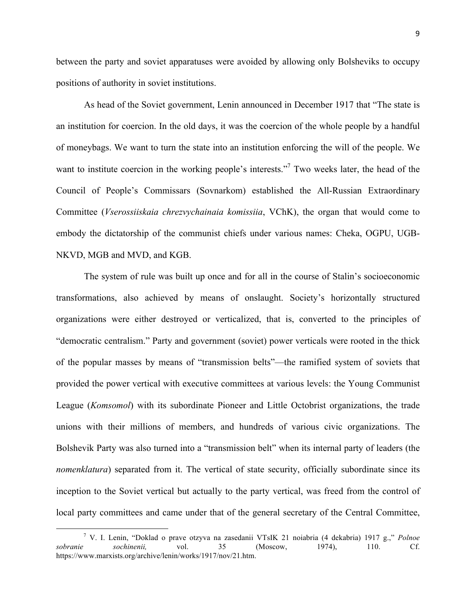between the party and soviet apparatuses were avoided by allowing only Bolsheviks to occupy positions of authority in soviet institutions.

As head of the Soviet government, Lenin announced in December 1917 that "The state is an institution for coercion. In the old days, it was the coercion of the whole people by a handful of moneybags. We want to turn the state into an institution enforcing the will of the people. We want to institute coercion in the working people's interests."<sup>7</sup> Two weeks later, the head of the Council of People's Commissars (Sovnarkom) established the All-Russian Extraordinary Committee (*Vserossiiskaia chrezvychainaia komissiia*, VChK), the organ that would come to embody the dictatorship of the communist chiefs under various names: Cheka, OGPU, UGB-NKVD, MGB and MVD, and KGB.

The system of rule was built up once and for all in the course of Stalin's socioeconomic transformations, also achieved by means of onslaught. Society's horizontally structured organizations were either destroyed or verticalized, that is, converted to the principles of "democratic centralism." Party and government (soviet) power verticals were rooted in the thick of the popular masses by means of "transmission belts"—the ramified system of soviets that provided the power vertical with executive committees at various levels: the Young Communist League (*Komsomol*) with its subordinate Pioneer and Little Octobrist organizations, the trade unions with their millions of members, and hundreds of various civic organizations. The Bolshevik Party was also turned into a "transmission belt" when its internal party of leaders (the *nomenklatura*) separated from it. The vertical of state security, officially subordinate since its inception to the Soviet vertical but actually to the party vertical, was freed from the control of local party committees and came under that of the general secretary of the Central Committee,

<u> Andrew Maria (1989)</u>

<sup>7</sup> V. I. Lenin, "Doklad o prave otzyva na zasedanii VTsIK 21 noiabria (4 dekabria) 1917 g.," *Polnoe sobranie sochinenii,* vol. 35 (Moscow, 1974), 110. Cf. https://www.marxists.org/archive/lenin/works/1917/nov/21.htm.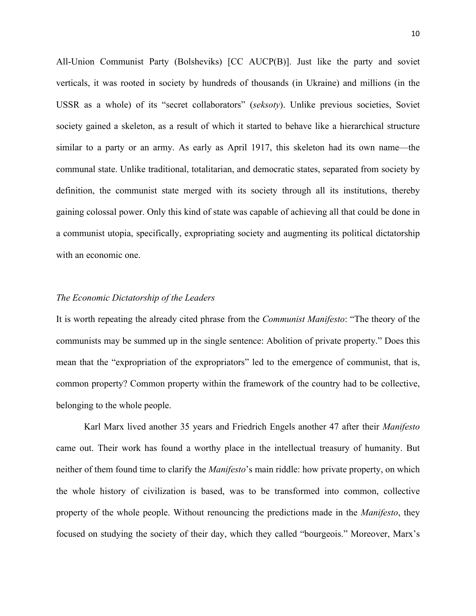All-Union Communist Party (Bolsheviks) [CC AUCP(B)]. Just like the party and soviet verticals, it was rooted in society by hundreds of thousands (in Ukraine) and millions (in the USSR as a whole) of its "secret collaborators" (*seksoty*). Unlike previous societies, Soviet society gained a skeleton, as a result of which it started to behave like a hierarchical structure similar to a party or an army. As early as April 1917, this skeleton had its own name—the communal state. Unlike traditional, totalitarian, and democratic states, separated from society by definition, the communist state merged with its society through all its institutions, thereby gaining colossal power. Only this kind of state was capable of achieving all that could be done in a communist utopia, specifically, expropriating society and augmenting its political dictatorship with an economic one.

## *The Economic Dictatorship of the Leaders*

It is worth repeating the already cited phrase from the *Communist Manifesto*: "The theory of the communists may be summed up in the single sentence: Abolition of private property." Does this mean that the "expropriation of the expropriators" led to the emergence of communist, that is, common property? Common property within the framework of the country had to be collective, belonging to the whole people.

Karl Marx lived another 35 years and Friedrich Engels another 47 after their *Manifesto* came out. Their work has found a worthy place in the intellectual treasury of humanity. But neither of them found time to clarify the *Manifesto*'s main riddle: how private property, on which the whole history of civilization is based, was to be transformed into common, collective property of the whole people. Without renouncing the predictions made in the *Manifesto*, they focused on studying the society of their day, which they called "bourgeois." Moreover, Marx's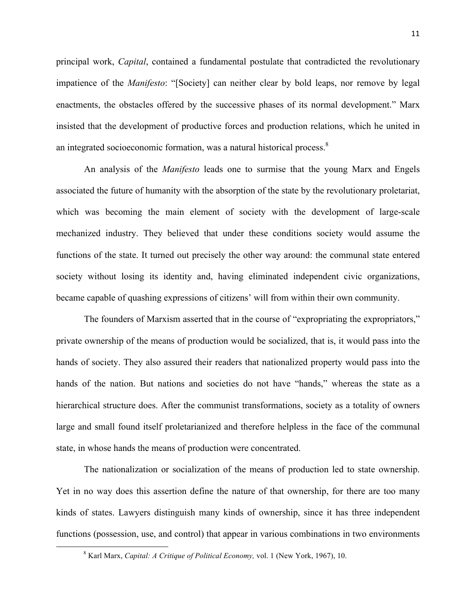principal work, *Capital*, contained a fundamental postulate that contradicted the revolutionary impatience of the *Manifesto*: "[Society] can neither clear by bold leaps, nor remove by legal enactments, the obstacles offered by the successive phases of its normal development." Marx insisted that the development of productive forces and production relations, which he united in an integrated socioeconomic formation, was a natural historical process.<sup>8</sup>

An analysis of the *Manifesto* leads one to surmise that the young Marx and Engels associated the future of humanity with the absorption of the state by the revolutionary proletariat, which was becoming the main element of society with the development of large-scale mechanized industry. They believed that under these conditions society would assume the functions of the state. It turned out precisely the other way around: the communal state entered society without losing its identity and, having eliminated independent civic organizations, became capable of quashing expressions of citizens' will from within their own community.

The founders of Marxism asserted that in the course of "expropriating the expropriators," private ownership of the means of production would be socialized, that is, it would pass into the hands of society. They also assured their readers that nationalized property would pass into the hands of the nation. But nations and societies do not have "hands," whereas the state as a hierarchical structure does. After the communist transformations, society as a totality of owners large and small found itself proletarianized and therefore helpless in the face of the communal state, in whose hands the means of production were concentrated.

The nationalization or socialization of the means of production led to state ownership. Yet in no way does this assertion define the nature of that ownership, for there are too many kinds of states. Lawyers distinguish many kinds of ownership, since it has three independent functions (possession, use, and control) that appear in various combinations in two environments

 

<sup>8</sup> Karl Marx, *Capital: A Critique of Political Economy,* vol. 1 (New York, 1967), 10.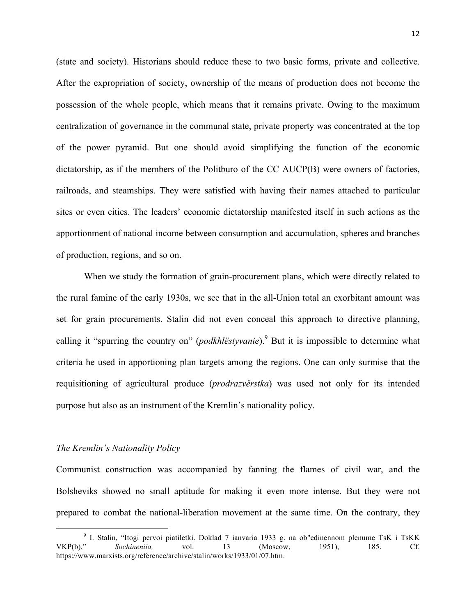(state and society). Historians should reduce these to two basic forms, private and collective. After the expropriation of society, ownership of the means of production does not become the possession of the whole people, which means that it remains private. Owing to the maximum centralization of governance in the communal state, private property was concentrated at the top of the power pyramid. But one should avoid simplifying the function of the economic dictatorship, as if the members of the Politburo of the CC AUCP(B) were owners of factories, railroads, and steamships. They were satisfied with having their names attached to particular sites or even cities. The leaders' economic dictatorship manifested itself in such actions as the apportionment of national income between consumption and accumulation, spheres and branches of production, regions, and so on.

When we study the formation of grain-procurement plans, which were directly related to the rural famine of the early 1930s, we see that in the all-Union total an exorbitant amount was set for grain procurements. Stalin did not even conceal this approach to directive planning, calling it "spurring the country on" (*podkhlëstyvanie*).<sup>9</sup> But it is impossible to determine what criteria he used in apportioning plan targets among the regions. One can only surmise that the requisitioning of agricultural produce (*prodrazvërstka*) was used not only for its intended purpose but also as an instrument of the Kremlin's nationality policy.

### *The Kremlin's Nationality Policy*

<u> Andrew Maria (1989)</u>

Communist construction was accompanied by fanning the flames of civil war, and the Bolsheviks showed no small aptitude for making it even more intense. But they were not prepared to combat the national-liberation movement at the same time. On the contrary, they

<sup>9</sup> I. Stalin, "Itogi pervoi piatiletki. Doklad 7 ianvaria 1933 g. na ob"edinennom plenume TsK i TsKK VKP(b)," *Sochineniia,* vol. 13 (Moscow, 1951), 185. Cf. https://www.marxists.org/reference/archive/stalin/works/1933/01/07.htm.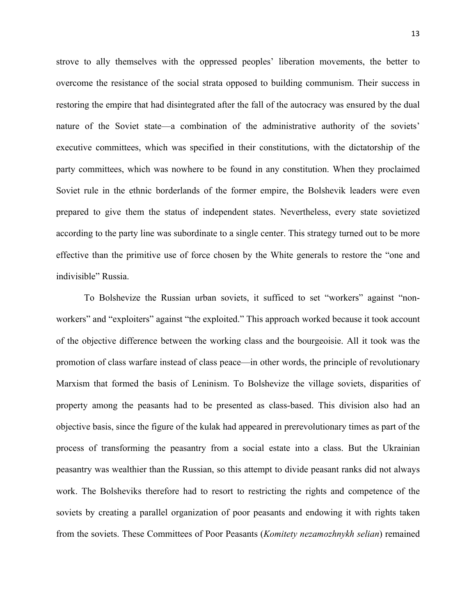strove to ally themselves with the oppressed peoples' liberation movements, the better to overcome the resistance of the social strata opposed to building communism. Their success in restoring the empire that had disintegrated after the fall of the autocracy was ensured by the dual nature of the Soviet state—a combination of the administrative authority of the soviets' executive committees, which was specified in their constitutions, with the dictatorship of the party committees, which was nowhere to be found in any constitution. When they proclaimed Soviet rule in the ethnic borderlands of the former empire, the Bolshevik leaders were even prepared to give them the status of independent states. Nevertheless, every state sovietized according to the party line was subordinate to a single center. This strategy turned out to be more effective than the primitive use of force chosen by the White generals to restore the "one and indivisible" Russia.

To Bolshevize the Russian urban soviets, it sufficed to set "workers" against "nonworkers" and "exploiters" against "the exploited." This approach worked because it took account of the objective difference between the working class and the bourgeoisie. All it took was the promotion of class warfare instead of class peace—in other words, the principle of revolutionary Marxism that formed the basis of Leninism. To Bolshevize the village soviets, disparities of property among the peasants had to be presented as class-based. This division also had an objective basis, since the figure of the kulak had appeared in prerevolutionary times as part of the process of transforming the peasantry from a social estate into a class. But the Ukrainian peasantry was wealthier than the Russian, so this attempt to divide peasant ranks did not always work. The Bolsheviks therefore had to resort to restricting the rights and competence of the soviets by creating a parallel organization of poor peasants and endowing it with rights taken from the soviets. These Committees of Poor Peasants (*Komitety nezamozhnykh selian*) remained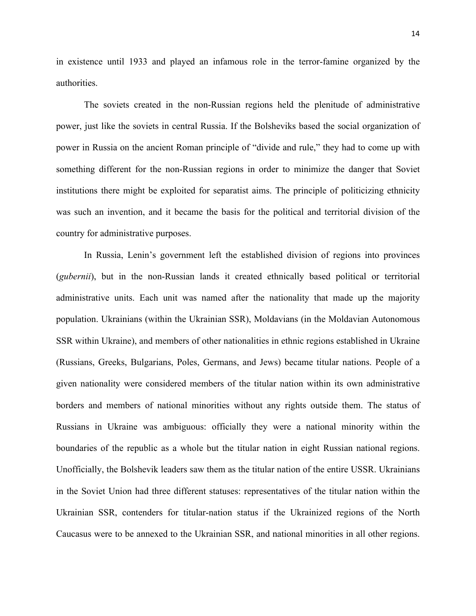in existence until 1933 and played an infamous role in the terror-famine organized by the authorities.

The soviets created in the non-Russian regions held the plenitude of administrative power, just like the soviets in central Russia. If the Bolsheviks based the social organization of power in Russia on the ancient Roman principle of "divide and rule," they had to come up with something different for the non-Russian regions in order to minimize the danger that Soviet institutions there might be exploited for separatist aims. The principle of politicizing ethnicity was such an invention, and it became the basis for the political and territorial division of the country for administrative purposes.

In Russia, Lenin's government left the established division of regions into provinces (*gubernii*), but in the non-Russian lands it created ethnically based political or territorial administrative units. Each unit was named after the nationality that made up the majority population. Ukrainians (within the Ukrainian SSR), Moldavians (in the Moldavian Autonomous SSR within Ukraine), and members of other nationalities in ethnic regions established in Ukraine (Russians, Greeks, Bulgarians, Poles, Germans, and Jews) became titular nations. People of a given nationality were considered members of the titular nation within its own administrative borders and members of national minorities without any rights outside them. The status of Russians in Ukraine was ambiguous: officially they were a national minority within the boundaries of the republic as a whole but the titular nation in eight Russian national regions. Unofficially, the Bolshevik leaders saw them as the titular nation of the entire USSR. Ukrainians in the Soviet Union had three different statuses: representatives of the titular nation within the Ukrainian SSR, contenders for titular-nation status if the Ukrainized regions of the North Caucasus were to be annexed to the Ukrainian SSR, and national minorities in all other regions.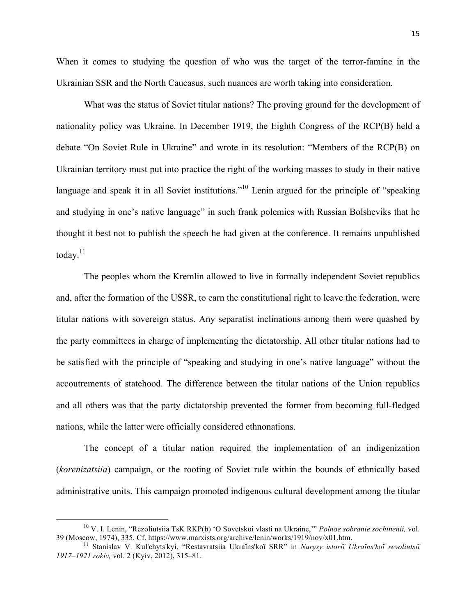When it comes to studying the question of who was the target of the terror-famine in the Ukrainian SSR and the North Caucasus, such nuances are worth taking into consideration.

What was the status of Soviet titular nations? The proving ground for the development of nationality policy was Ukraine. In December 1919, the Eighth Congress of the RCP(B) held a debate "On Soviet Rule in Ukraine" and wrote in its resolution: "Members of the RCP(B) on Ukrainian territory must put into practice the right of the working masses to study in their native language and speak it in all Soviet institutions."<sup>10</sup> Lenin argued for the principle of "speaking and studying in one's native language" in such frank polemics with Russian Bolsheviks that he thought it best not to publish the speech he had given at the conference. It remains unpublished today.<sup>11</sup>

The peoples whom the Kremlin allowed to live in formally independent Soviet republics and, after the formation of the USSR, to earn the constitutional right to leave the federation, were titular nations with sovereign status. Any separatist inclinations among them were quashed by the party committees in charge of implementing the dictatorship. All other titular nations had to be satisfied with the principle of "speaking and studying in one's native language" without the accoutrements of statehood. The difference between the titular nations of the Union republics and all others was that the party dictatorship prevented the former from becoming full-fledged nations, while the latter were officially considered ethnonations.

The concept of a titular nation required the implementation of an indigenization (*korenizatsiia*) campaign, or the rooting of Soviet rule within the bounds of ethnically based administrative units. This campaign promoted indigenous cultural development among the titular

<sup>&</sup>lt;sup>10</sup> V. I. Lenin, "Rezoliutsiia TsK RKP(b) 'O Sovetskoi vlasti na Ukraine," *Polnoe sobranie sochinenii*, vol.<br>39 (Moscow, 1974), 335. Cf. https://www.marxists.org/archive/lenin/works/1919/nov/x01.htm.

<sup>&</sup>lt;sup>11</sup> Stanislav V. Kul'chyts'kyi, "Restavratsiia Ukraïns'koï SRR" in *Narysy istoriï Ukraïns'koï revoliutsiï 1917–1921 rokiv,* vol. 2 (Kyiv, 2012), 315–81.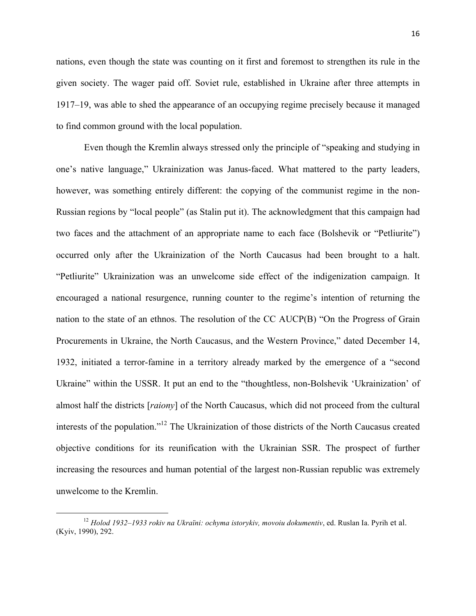nations, even though the state was counting on it first and foremost to strengthen its rule in the given society. The wager paid off. Soviet rule, established in Ukraine after three attempts in 1917–19, was able to shed the appearance of an occupying regime precisely because it managed to find common ground with the local population.

Even though the Kremlin always stressed only the principle of "speaking and studying in one's native language," Ukrainization was Janus-faced. What mattered to the party leaders, however, was something entirely different: the copying of the communist regime in the non-Russian regions by "local people" (as Stalin put it). The acknowledgment that this campaign had two faces and the attachment of an appropriate name to each face (Bolshevik or "Petliurite") occurred only after the Ukrainization of the North Caucasus had been brought to a halt. "Petliurite" Ukrainization was an unwelcome side effect of the indigenization campaign. It encouraged a national resurgence, running counter to the regime's intention of returning the nation to the state of an ethnos. The resolution of the CC AUCP(B) "On the Progress of Grain Procurements in Ukraine, the North Caucasus, and the Western Province," dated December 14, 1932, initiated a terror-famine in a territory already marked by the emergence of a "second Ukraine" within the USSR. It put an end to the "thoughtless, non-Bolshevik 'Ukrainization' of almost half the districts [*raiony*] of the North Caucasus, which did not proceed from the cultural interests of the population."12 The Ukrainization of those districts of the North Caucasus created objective conditions for its reunification with the Ukrainian SSR. The prospect of further increasing the resources and human potential of the largest non-Russian republic was extremely unwelcome to the Kremlin.

<sup>12</sup> *Holod 1932–1933 rokiv na Ukraïni: ochyma istorykiv, movoiu dokumentiv*, ed. Ruslan Ia. Pyrih et al. (Kyiv, 1990), 292.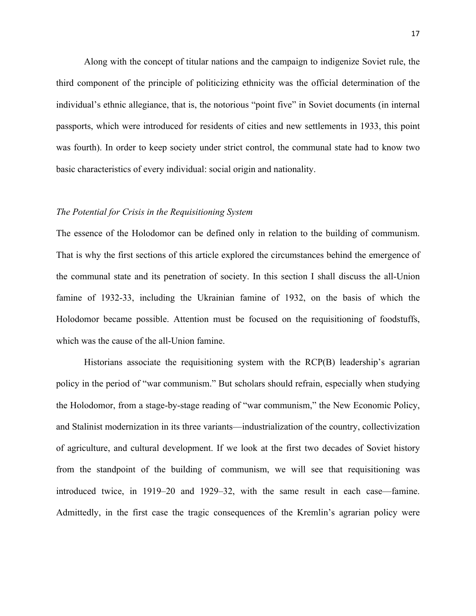Along with the concept of titular nations and the campaign to indigenize Soviet rule, the third component of the principle of politicizing ethnicity was the official determination of the individual's ethnic allegiance, that is, the notorious "point five" in Soviet documents (in internal passports, which were introduced for residents of cities and new settlements in 1933, this point was fourth). In order to keep society under strict control, the communal state had to know two basic characteristics of every individual: social origin and nationality.

### *The Potential for Crisis in the Requisitioning System*

The essence of the Holodomor can be defined only in relation to the building of communism. That is why the first sections of this article explored the circumstances behind the emergence of the communal state and its penetration of society. In this section I shall discuss the all-Union famine of 1932-33, including the Ukrainian famine of 1932, on the basis of which the Holodomor became possible. Attention must be focused on the requisitioning of foodstuffs, which was the cause of the all-Union famine.

Historians associate the requisitioning system with the RCP(B) leadership's agrarian policy in the period of "war communism." But scholars should refrain, especially when studying the Holodomor, from a stage-by-stage reading of "war communism," the New Economic Policy, and Stalinist modernization in its three variants—industrialization of the country, collectivization of agriculture, and cultural development. If we look at the first two decades of Soviet history from the standpoint of the building of communism, we will see that requisitioning was introduced twice, in 1919–20 and 1929–32, with the same result in each case—famine. Admittedly, in the first case the tragic consequences of the Kremlin's agrarian policy were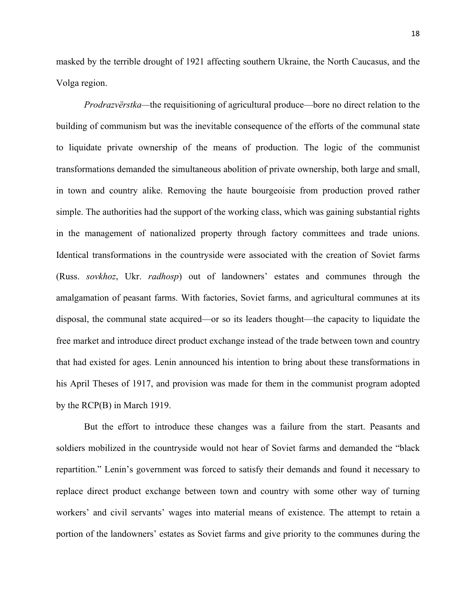masked by the terrible drought of 1921 affecting southern Ukraine, the North Caucasus, and the Volga region.

*Prodrazvërstka—*the requisitioning of agricultural produce—bore no direct relation to the building of communism but was the inevitable consequence of the efforts of the communal state to liquidate private ownership of the means of production. The logic of the communist transformations demanded the simultaneous abolition of private ownership, both large and small, in town and country alike. Removing the haute bourgeoisie from production proved rather simple. The authorities had the support of the working class, which was gaining substantial rights in the management of nationalized property through factory committees and trade unions. Identical transformations in the countryside were associated with the creation of Soviet farms (Russ. *sovkhoz*, Ukr. *radhosp*) out of landowners' estates and communes through the amalgamation of peasant farms. With factories, Soviet farms, and agricultural communes at its disposal, the communal state acquired—or so its leaders thought—the capacity to liquidate the free market and introduce direct product exchange instead of the trade between town and country that had existed for ages. Lenin announced his intention to bring about these transformations in his April Theses of 1917, and provision was made for them in the communist program adopted by the RCP(B) in March 1919.

But the effort to introduce these changes was a failure from the start. Peasants and soldiers mobilized in the countryside would not hear of Soviet farms and demanded the "black repartition." Lenin's government was forced to satisfy their demands and found it necessary to replace direct product exchange between town and country with some other way of turning workers' and civil servants' wages into material means of existence. The attempt to retain a portion of the landowners' estates as Soviet farms and give priority to the communes during the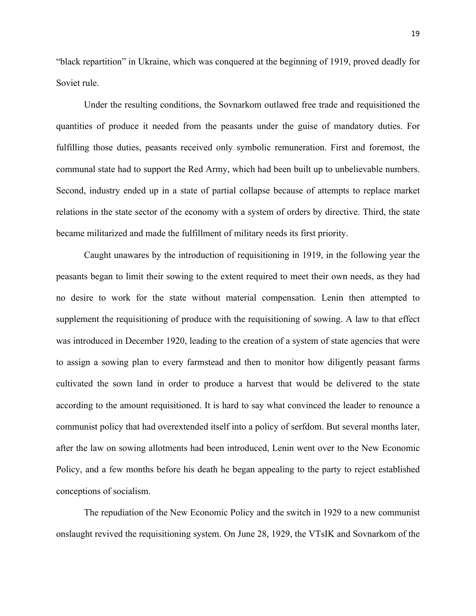"black repartition" in Ukraine, which was conquered at the beginning of 1919, proved deadly for Soviet rule.

Under the resulting conditions, the Sovnarkom outlawed free trade and requisitioned the quantities of produce it needed from the peasants under the guise of mandatory duties. For fulfilling those duties, peasants received only symbolic remuneration. First and foremost, the communal state had to support the Red Army, which had been built up to unbelievable numbers. Second, industry ended up in a state of partial collapse because of attempts to replace market relations in the state sector of the economy with a system of orders by directive. Third, the state became militarized and made the fulfillment of military needs its first priority.

Caught unawares by the introduction of requisitioning in 1919, in the following year the peasants began to limit their sowing to the extent required to meet their own needs, as they had no desire to work for the state without material compensation. Lenin then attempted to supplement the requisitioning of produce with the requisitioning of sowing. A law to that effect was introduced in December 1920, leading to the creation of a system of state agencies that were to assign a sowing plan to every farmstead and then to monitor how diligently peasant farms cultivated the sown land in order to produce a harvest that would be delivered to the state according to the amount requisitioned. It is hard to say what convinced the leader to renounce a communist policy that had overextended itself into a policy of serfdom. But several months later, after the law on sowing allotments had been introduced, Lenin went over to the New Economic Policy, and a few months before his death he began appealing to the party to reject established conceptions of socialism.

The repudiation of the New Economic Policy and the switch in 1929 to a new communist onslaught revived the requisitioning system. On June 28, 1929, the VTsIK and Sovnarkom of the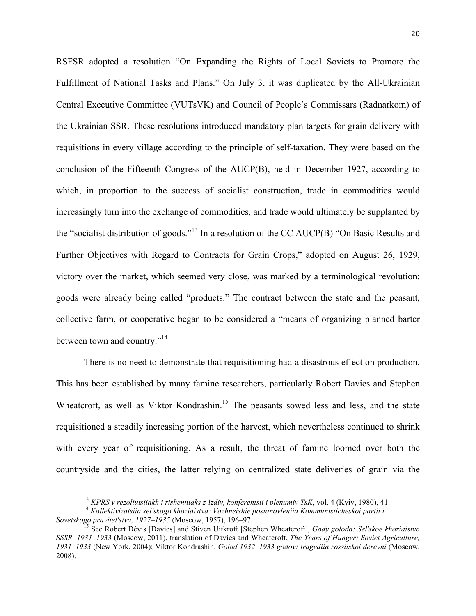RSFSR adopted a resolution "On Expanding the Rights of Local Soviets to Promote the Fulfillment of National Tasks and Plans." On July 3, it was duplicated by the All-Ukrainian Central Executive Committee (VUTsVK) and Council of People's Commissars (Radnarkom) of the Ukrainian SSR. These resolutions introduced mandatory plan targets for grain delivery with requisitions in every village according to the principle of self-taxation. They were based on the conclusion of the Fifteenth Congress of the AUCP(B), held in December 1927, according to which, in proportion to the success of socialist construction, trade in commodities would increasingly turn into the exchange of commodities, and trade would ultimately be supplanted by the "socialist distribution of goods."<sup>13</sup> In a resolution of the CC AUCP(B) "On Basic Results and Further Objectives with Regard to Contracts for Grain Crops," adopted on August 26, 1929, victory over the market, which seemed very close, was marked by a terminological revolution: goods were already being called "products." The contract between the state and the peasant, collective farm, or cooperative began to be considered a "means of organizing planned barter between town and country."<sup>14</sup>

There is no need to demonstrate that requisitioning had a disastrous effect on production. This has been established by many famine researchers, particularly Robert Davies and Stephen Wheatcroft, as well as Viktor Kondrashin.<sup>15</sup> The peasants sowed less and less, and the state requisitioned a steadily increasing portion of the harvest, which nevertheless continued to shrink with every year of requisitioning. As a result, the threat of famine loomed over both the countryside and the cities, the latter relying on centralized state deliveries of grain via the

<sup>&</sup>lt;sup>13</sup> *KPRS v rezoliutsiiakh i rishenniaks z'ïzdiv, konferentsii i plenumiv TsK, vol.* 4 (Kyiv, 1980), 41.<br><sup>14</sup> *Kollektivizatsiia sel'skogo khoziaistva: Vazhneishie postanovleniia Kommunisticheskoi partii i Sovetskogo prav* 

<sup>&</sup>lt;sup>15</sup> See Robert Dėvis [Davies] and Stiven Uitkroft [Stephen Wheatcroft], *Gody goloda: Sel'skoe khoziaistvo SSSR. 1931–1933* (Moscow, 2011), translation of Davies and Wheatcroft, *The Years of Hunger: Soviet Agriculture, 1931–1933* (New York, 2004); Viktor Kondrashin, *Golod 1932–1933 godov: tragediia rossiiskoi derevni* (Moscow, 2008).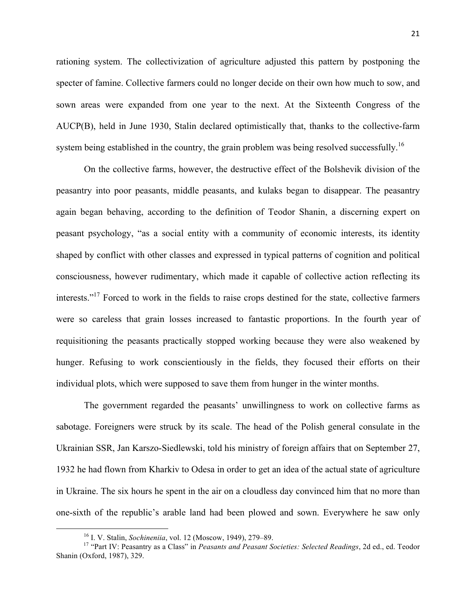rationing system. The collectivization of agriculture adjusted this pattern by postponing the specter of famine. Collective farmers could no longer decide on their own how much to sow, and sown areas were expanded from one year to the next. At the Sixteenth Congress of the AUCP(B), held in June 1930, Stalin declared optimistically that, thanks to the collective-farm system being established in the country, the grain problem was being resolved successfully.<sup>16</sup>

On the collective farms, however, the destructive effect of the Bolshevik division of the peasantry into poor peasants, middle peasants, and kulaks began to disappear. The peasantry again began behaving, according to the definition of Teodor Shanin, a discerning expert on peasant psychology, "as a social entity with a community of economic interests, its identity shaped by conflict with other classes and expressed in typical patterns of cognition and political consciousness, however rudimentary, which made it capable of collective action reflecting its interests."<sup>17</sup> Forced to work in the fields to raise crops destined for the state, collective farmers were so careless that grain losses increased to fantastic proportions. In the fourth year of requisitioning the peasants practically stopped working because they were also weakened by hunger. Refusing to work conscientiously in the fields, they focused their efforts on their individual plots, which were supposed to save them from hunger in the winter months.

The government regarded the peasants' unwillingness to work on collective farms as sabotage. Foreigners were struck by its scale. The head of the Polish general consulate in the Ukrainian SSR, Jan Karszo-Siedlewski, told his ministry of foreign affairs that on September 27, 1932 he had flown from Kharkiv to Odesa in order to get an idea of the actual state of agriculture in Ukraine. The six hours he spent in the air on a cloudless day convinced him that no more than one-sixth of the republic's arable land had been plowed and sown. Everywhere he saw only

<u> Andrew Maria (1989)</u>

<sup>&</sup>lt;sup>16</sup> I. V. Stalin, *Sochineniia*, vol. 12 (Moscow, 1949), 279–89.<br><sup>17</sup> "Part IV: Peasantry as a Class" in *Peasants and Peasant Societies: Selected Readings*, 2d ed., ed. Teodor Shanin (Oxford, 1987), 329.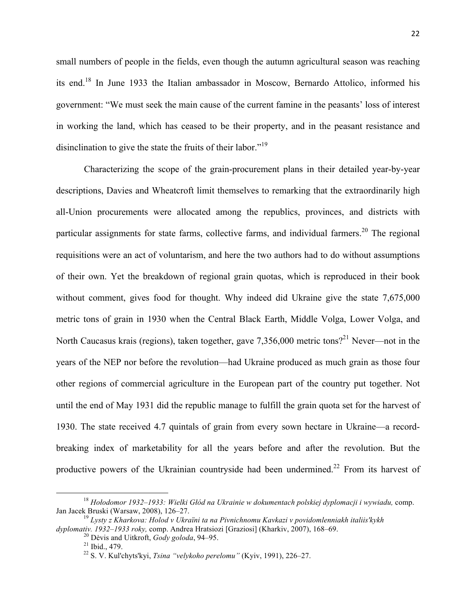small numbers of people in the fields, even though the autumn agricultural season was reaching its end.<sup>18</sup> In June 1933 the Italian ambassador in Moscow, Bernardo Attolico, informed his government: "We must seek the main cause of the current famine in the peasants' loss of interest in working the land, which has ceased to be their property, and in the peasant resistance and disinclination to give the state the fruits of their labor."<sup>19</sup>

Characterizing the scope of the grain-procurement plans in their detailed year-by-year descriptions, Davies and Wheatcroft limit themselves to remarking that the extraordinarily high all-Union procurements were allocated among the republics, provinces, and districts with particular assignments for state farms, collective farms, and individual farmers.<sup>20</sup> The regional requisitions were an act of voluntarism, and here the two authors had to do without assumptions of their own. Yet the breakdown of regional grain quotas, which is reproduced in their book without comment, gives food for thought. Why indeed did Ukraine give the state 7,675,000 metric tons of grain in 1930 when the Central Black Earth, Middle Volga, Lower Volga, and North Caucasus krais (regions), taken together, gave  $7.356,000$  metric tons?<sup>21</sup> Never—not in the years of the NEP nor before the revolution—had Ukraine produced as much grain as those four other regions of commercial agriculture in the European part of the country put together. Not until the end of May 1931 did the republic manage to fulfill the grain quota set for the harvest of 1930. The state received 4.7 quintals of grain from every sown hectare in Ukraine—a recordbreaking index of marketability for all the years before and after the revolution. But the productive powers of the Ukrainian countryside had been undermined.<sup>22</sup> From its harvest of

<sup>18</sup> *Hołodomor 1932–1933: Wielki Głód na Ukrainie w dokumentach polskiej dyplomacji i wywiadu,* comp.

<sup>&</sup>lt;sup>19</sup> Lysty z Kharkova: Holod v Ukraïni ta na Pivnichnomu Kavkazi v povidomlenniakh italiis'kykh dyplomativ. 1932–1933 roky, comp. Andrea Hratsiozi [Graziosi] (Kharkiv, 2007), 168–69.

<sup>&</sup>lt;sup>20</sup> Dėvis and Uitkroft, *Gody goloda*, 94–95.<br><sup>21</sup> Ibid., 479.<br><sup>22</sup> S. V. Kul'chyts'kyi, *Tsina "velykoho perelomu"* (Kyiv, 1991), 226–27.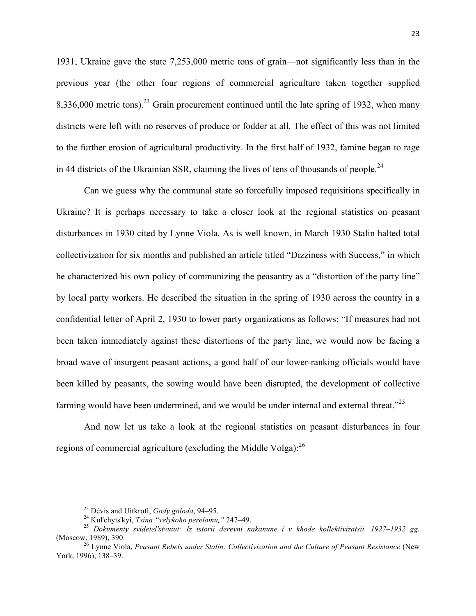1931, Ukraine gave the state 7,253,000 metric tons of grain—not significantly less than in the previous year (the other four regions of commercial agriculture taken together supplied  $8,336,000$  metric tons).<sup>23</sup> Grain procurement continued until the late spring of 1932, when many districts were left with no reserves of produce or fodder at all. The effect of this was not limited to the further erosion of agricultural productivity. In the first half of 1932, famine began to rage in 44 districts of the Ukrainian SSR, claiming the lives of tens of thousands of people.<sup>24</sup>

Can we guess why the communal state so forcefully imposed requisitions specifically in Ukraine? It is perhaps necessary to take a closer look at the regional statistics on peasant disturbances in 1930 cited by Lynne Viola. As is well known, in March 1930 Stalin halted total collectivization for six months and published an article titled "Dizziness with Success," in which he characterized his own policy of communizing the peasantry as a "distortion of the party line" by local party workers. He described the situation in the spring of 1930 across the country in a confidential letter of April 2, 1930 to lower party organizations as follows: "If measures had not been taken immediately against these distortions of the party line, we would now be facing a broad wave of insurgent peasant actions, a good half of our lower-ranking officials would have been killed by peasants, the sowing would have been disrupted, the development of collective farming would have been undermined, and we would be under internal and external threat. $^{225}$ 

And now let us take a look at the regional statistics on peasant disturbances in four regions of commercial agriculture (excluding the Middle Volga): $^{26}$ 

 

<sup>&</sup>lt;sup>23</sup> Dėvis and Uitkroft, *Gody goloda*, 94–95.<br><sup>24</sup> Kul'chyts'kyi, *Tsina "velykoho perelomu*," 247–49.<br><sup>25</sup> *Dokumenty svidetel'stvuiut: Iz istorii derevni nakanune i v khode kollektivizatsii, 1927–1932 gg.*<br>(Moscow, 1989

<sup>&</sup>lt;sup>26</sup> Lynne Viola, *Peasant Rebels under Stalin: Collectivization and the Culture of Peasant Resistance* (New York, 1996), 138–39.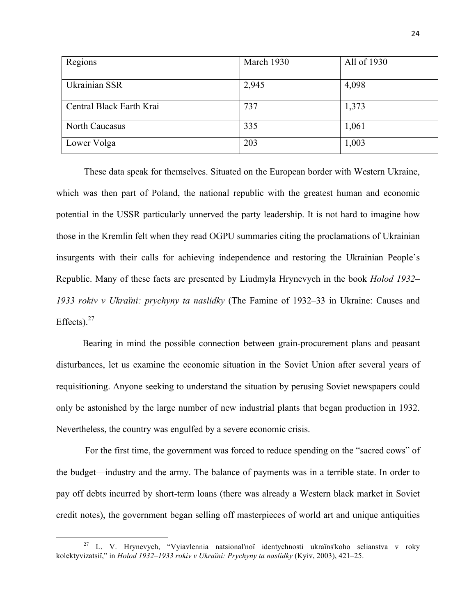| Regions                  | March 1930 | All of 1930 |
|--------------------------|------------|-------------|
| Ukrainian SSR            | 2,945      | 4,098       |
| Central Black Earth Krai | 737        | 1,373       |
| <b>North Caucasus</b>    | 335        | 1,061       |
| Lower Volga              | 203        | 1,003       |

These data speak for themselves. Situated on the European border with Western Ukraine, which was then part of Poland, the national republic with the greatest human and economic potential in the USSR particularly unnerved the party leadership. It is not hard to imagine how those in the Kremlin felt when they read OGPU summaries citing the proclamations of Ukrainian insurgents with their calls for achieving independence and restoring the Ukrainian People's Republic. Many of these facts are presented by Liudmyla Hrynevych in the book *Holod 1932– 1933 rokiv v Ukraïni: prychyny ta naslidky* (The Famine of 1932–33 in Ukraine: Causes and Effects). $27$ 

Bearing in mind the possible connection between grain-procurement plans and peasant disturbances, let us examine the economic situation in the Soviet Union after several years of requisitioning. Anyone seeking to understand the situation by perusing Soviet newspapers could only be astonished by the large number of new industrial plants that began production in 1932. Nevertheless, the country was engulfed by a severe economic crisis.

For the first time, the government was forced to reduce spending on the "sacred cows" of the budget—industry and the army. The balance of payments was in a terrible state. In order to pay off debts incurred by short-term loans (there was already a Western black market in Soviet credit notes), the government began selling off masterpieces of world art and unique antiquities

 $27$  L. V. Hrynevych, "Vyiavlennia natsional'noï identychnosti ukraïns'koho selianstva v roky kolektyvizatsiï," in *Holod 1932–1933 rokiv v Ukraïni: Prychyny ta naslidky* (Kyiv, 2003), 421–25.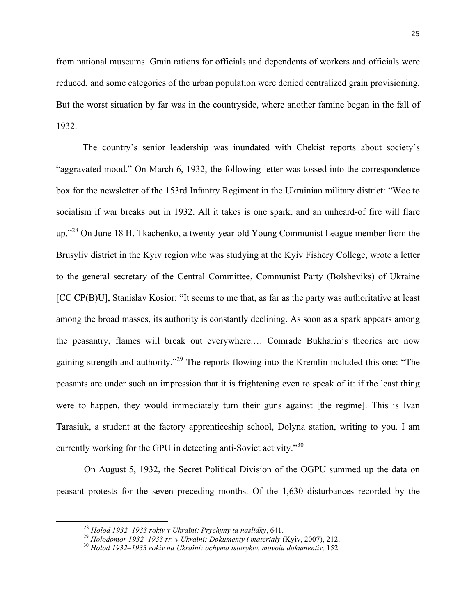from national museums. Grain rations for officials and dependents of workers and officials were reduced, and some categories of the urban population were denied centralized grain provisioning. But the worst situation by far was in the countryside, where another famine began in the fall of 1932.

The country's senior leadership was inundated with Chekist reports about society's "aggravated mood." On March 6, 1932, the following letter was tossed into the correspondence box for the newsletter of the 153rd Infantry Regiment in the Ukrainian military district: "Woe to socialism if war breaks out in 1932. All it takes is one spark, and an unheard-of fire will flare up."<sup>28</sup> On June 18 H. Tkachenko, a twenty-year-old Young Communist League member from the Brusyliv district in the Kyiv region who was studying at the Kyiv Fishery College, wrote a letter to the general secretary of the Central Committee, Communist Party (Bolsheviks) of Ukraine [CC CP(B)U], Stanislav Kosior: "It seems to me that, as far as the party was authoritative at least among the broad masses, its authority is constantly declining. As soon as a spark appears among the peasantry, flames will break out everywhere.… Comrade Bukharin's theories are now gaining strength and authority."<sup>29</sup> The reports flowing into the Kremlin included this one: "The peasants are under such an impression that it is frightening even to speak of it: if the least thing were to happen, they would immediately turn their guns against [the regime]. This is Ivan Tarasiuk, a student at the factory apprenticeship school, Dolyna station, writing to you. I am currently working for the GPU in detecting anti-Soviet activity."<sup>30</sup>

On August 5, 1932, the Secret Political Division of the OGPU summed up the data on peasant protests for the seven preceding months. Of the 1,630 disturbances recorded by the

<sup>&</sup>lt;sup>28</sup> Holod 1932–1933 rokiv v Ukraïni: Prychyny ta naslidky, 641.<br><sup>29</sup> Holodomor 1932–1933 rr. v Ukraïni: Dokumenty i materialy (Kyiv, 2007), 212.<br><sup>30</sup> Holod 1932–1933 rokiv na Ukraïni: ochyma istorykiv, movoiu dokumentiv,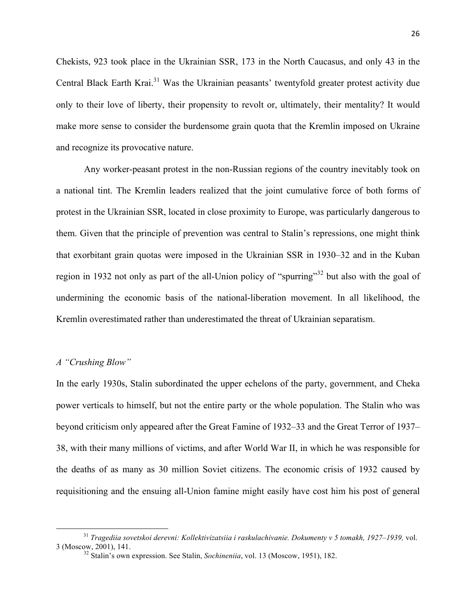Chekists, 923 took place in the Ukrainian SSR, 173 in the North Caucasus, and only 43 in the Central Black Earth Krai.<sup>31</sup> Was the Ukrainian peasants' twentyfold greater protest activity due only to their love of liberty, their propensity to revolt or, ultimately, their mentality? It would make more sense to consider the burdensome grain quota that the Kremlin imposed on Ukraine and recognize its provocative nature.

Any worker-peasant protest in the non-Russian regions of the country inevitably took on a national tint. The Kremlin leaders realized that the joint cumulative force of both forms of protest in the Ukrainian SSR, located in close proximity to Europe, was particularly dangerous to them. Given that the principle of prevention was central to Stalin's repressions, one might think that exorbitant grain quotas were imposed in the Ukrainian SSR in 1930–32 and in the Kuban region in 1932 not only as part of the all-Union policy of "spurring"<sup>32</sup> but also with the goal of undermining the economic basis of the national-liberation movement. In all likelihood, the Kremlin overestimated rather than underestimated the threat of Ukrainian separatism.

#### *A "Crushing Blow"*

<u> 1989 - Johann Barn, mars ann an t-Amhain an t-Amhain an t-Amhain an t-Amhain an t-Amhain an t-Amhain an t-Amh</u>

In the early 1930s, Stalin subordinated the upper echelons of the party, government, and Cheka power verticals to himself, but not the entire party or the whole population. The Stalin who was beyond criticism only appeared after the Great Famine of 1932–33 and the Great Terror of 1937– 38, with their many millions of victims, and after World War II, in which he was responsible for the deaths of as many as 30 million Soviet citizens. The economic crisis of 1932 caused by requisitioning and the ensuing all-Union famine might easily have cost him his post of general

<sup>31</sup> *Tragediia sovetskoi derevni: Kollektivizatsiia i raskulachivanie. Dokumenty v 5 tomakh, 1927–1939,* vol. 3 (Moscow, 2001), 141. <sup>32</sup> Stalin's own expression. See Stalin, *Sochineniia*, vol. 13 (Moscow, 1951), 182.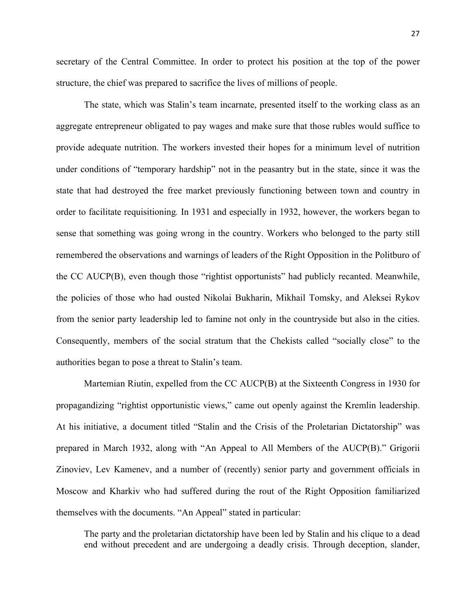secretary of the Central Committee. In order to protect his position at the top of the power structure, the chief was prepared to sacrifice the lives of millions of people.

The state, which was Stalin's team incarnate, presented itself to the working class as an aggregate entrepreneur obligated to pay wages and make sure that those rubles would suffice to provide adequate nutrition. The workers invested their hopes for a minimum level of nutrition under conditions of "temporary hardship" not in the peasantry but in the state, since it was the state that had destroyed the free market previously functioning between town and country in order to facilitate requisitioning*.* In 1931 and especially in 1932, however, the workers began to sense that something was going wrong in the country. Workers who belonged to the party still remembered the observations and warnings of leaders of the Right Opposition in the Politburo of the CC AUCP(B), even though those "rightist opportunists" had publicly recanted. Meanwhile, the policies of those who had ousted Nikolai Bukharin, Mikhail Tomsky, and Aleksei Rykov from the senior party leadership led to famine not only in the countryside but also in the cities. Consequently, members of the social stratum that the Chekists called "socially close" to the authorities began to pose a threat to Stalin's team.

Martemian Riutin, expelled from the CC AUCP(B) at the Sixteenth Congress in 1930 for propagandizing "rightist opportunistic views," came out openly against the Kremlin leadership. At his initiative, a document titled "Stalin and the Crisis of the Proletarian Dictatorship" was prepared in March 1932, along with "An Appeal to All Members of the AUCP(B)." Grigorii Zinoviev, Lev Kamenev, and a number of (recently) senior party and government officials in Moscow and Kharkiv who had suffered during the rout of the Right Opposition familiarized themselves with the documents. "An Appeal" stated in particular:

The party and the proletarian dictatorship have been led by Stalin and his clique to a dead end without precedent and are undergoing a deadly crisis. Through deception, slander,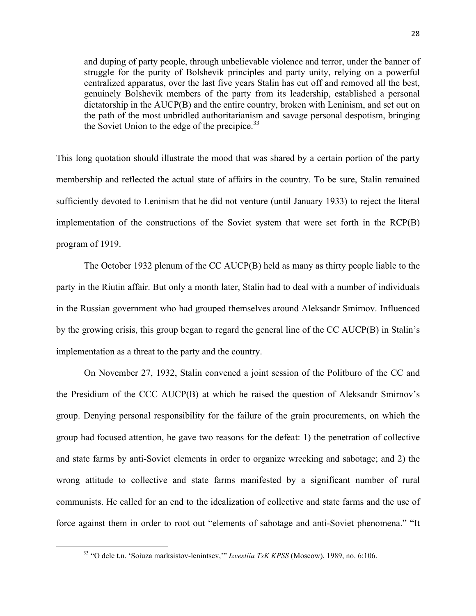and duping of party people, through unbelievable violence and terror, under the banner of struggle for the purity of Bolshevik principles and party unity, relying on a powerful centralized apparatus, over the last five years Stalin has cut off and removed all the best, genuinely Bolshevik members of the party from its leadership, established a personal dictatorship in the AUCP(B) and the entire country, broken with Leninism, and set out on the path of the most unbridled authoritarianism and savage personal despotism, bringing the Soviet Union to the edge of the precipice. $33$ 

This long quotation should illustrate the mood that was shared by a certain portion of the party membership and reflected the actual state of affairs in the country. To be sure, Stalin remained sufficiently devoted to Leninism that he did not venture (until January 1933) to reject the literal implementation of the constructions of the Soviet system that were set forth in the RCP(B) program of 1919.

The October 1932 plenum of the CC AUCP(B) held as many as thirty people liable to the party in the Riutin affair. But only a month later, Stalin had to deal with a number of individuals in the Russian government who had grouped themselves around Aleksandr Smirnov. Influenced by the growing crisis, this group began to regard the general line of the CC AUCP(B) in Stalin's implementation as a threat to the party and the country.

On November 27, 1932, Stalin convened a joint session of the Politburo of the CC and the Presidium of the CCC AUCP(B) at which he raised the question of Aleksandr Smirnov's group. Denying personal responsibility for the failure of the grain procurements, on which the group had focused attention, he gave two reasons for the defeat: 1) the penetration of collective and state farms by anti-Soviet elements in order to organize wrecking and sabotage; and 2) the wrong attitude to collective and state farms manifested by a significant number of rural communists. He called for an end to the idealization of collective and state farms and the use of force against them in order to root out "elements of sabotage and anti-Soviet phenomena." "It

 

<sup>33</sup> "O dele t.n. 'Soiuza marksistov-lenintsev,'" *Izvestiia TsK KPSS* (Moscow), 1989, no. 6:106.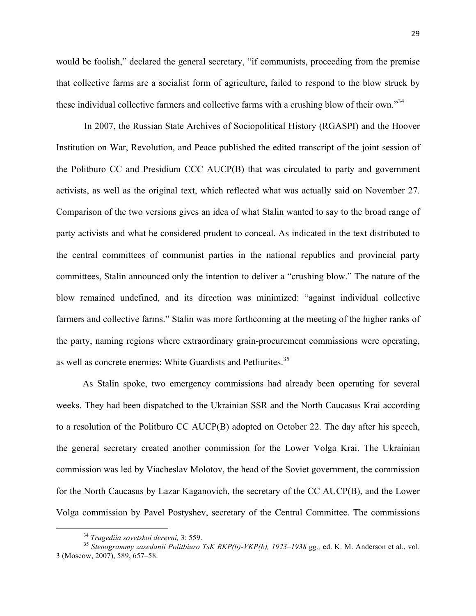would be foolish," declared the general secretary, "if communists, proceeding from the premise that collective farms are a socialist form of agriculture, failed to respond to the blow struck by these individual collective farmers and collective farms with a crushing blow of their own."<sup>34</sup>

In 2007, the Russian State Archives of Sociopolitical History (RGASPI) and the Hoover Institution on War, Revolution, and Peace published the edited transcript of the joint session of the Politburo CC and Presidium CCC AUCP(B) that was circulated to party and government activists, as well as the original text, which reflected what was actually said on November 27. Comparison of the two versions gives an idea of what Stalin wanted to say to the broad range of party activists and what he considered prudent to conceal. As indicated in the text distributed to the central committees of communist parties in the national republics and provincial party committees, Stalin announced only the intention to deliver a "crushing blow." The nature of the blow remained undefined, and its direction was minimized: "against individual collective farmers and collective farms." Stalin was more forthcoming at the meeting of the higher ranks of the party, naming regions where extraordinary grain-procurement commissions were operating, as well as concrete enemies: White Guardists and Petliurites.<sup>35</sup>

As Stalin spoke, two emergency commissions had already been operating for several weeks. They had been dispatched to the Ukrainian SSR and the North Caucasus Krai according to a resolution of the Politburo CC AUCP(B) adopted on October 22. The day after his speech, the general secretary created another commission for the Lower Volga Krai. The Ukrainian commission was led by Viacheslav Molotov, the head of the Soviet government, the commission for the North Caucasus by Lazar Kaganovich, the secretary of the CC AUCP(B), and the Lower Volga commission by Pavel Postyshev, secretary of the Central Committee. The commissions

<u> Andrew Maria (1989)</u>

<sup>&</sup>lt;sup>34</sup> Tragediia sovetskoi derevni, 3: 559.<br><sup>35</sup> Stenogrammy zasedanii Politbiuro TsK RKP(b)-VKP(b), 1923–1938 gg., ed. K. M. Anderson et al., vol. 3 (Moscow, 2007), 589, 657–58.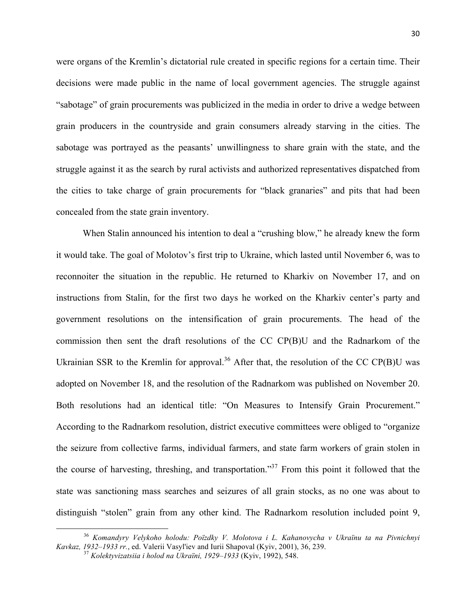were organs of the Kremlin's dictatorial rule created in specific regions for a certain time. Their decisions were made public in the name of local government agencies. The struggle against "sabotage" of grain procurements was publicized in the media in order to drive a wedge between grain producers in the countryside and grain consumers already starving in the cities. The sabotage was portrayed as the peasants' unwillingness to share grain with the state, and the struggle against it as the search by rural activists and authorized representatives dispatched from the cities to take charge of grain procurements for "black granaries" and pits that had been concealed from the state grain inventory.

When Stalin announced his intention to deal a "crushing blow," he already knew the form it would take. The goal of Molotov's first trip to Ukraine, which lasted until November 6, was to reconnoiter the situation in the republic. He returned to Kharkiv on November 17, and on instructions from Stalin, for the first two days he worked on the Kharkiv center's party and government resolutions on the intensification of grain procurements. The head of the commission then sent the draft resolutions of the CC CP(B)U and the Radnarkom of the Ukrainian SSR to the Kremlin for approval.<sup>36</sup> After that, the resolution of the CC CP(B)U was adopted on November 18, and the resolution of the Radnarkom was published on November 20. Both resolutions had an identical title: "On Measures to Intensify Grain Procurement." According to the Radnarkom resolution, district executive committees were obliged to "organize the seizure from collective farms, individual farmers, and state farm workers of grain stolen in the course of harvesting, threshing, and transportation."37 From this point it followed that the state was sanctioning mass searches and seizures of all grain stocks, as no one was about to distinguish "stolen" grain from any other kind. The Radnarkom resolution included point 9,

<u> Andrew Maria (1989)</u>

<sup>36</sup> *Komandyry Velykoho holodu: Poïzdky V. Molotova i L. Kahanovycha v Ukraïnu ta na Pivnichnyi Kavkaz, 1932–1933 rr.*, ed. Valerii Vasyl'iev and Iurii Shapoval (Kyiv, 2001), 36, 239. <sup>37</sup> *Kolektyvizatsiia i holod na Ukraïni, 1929–1933* (Kyiv, 1992), 548.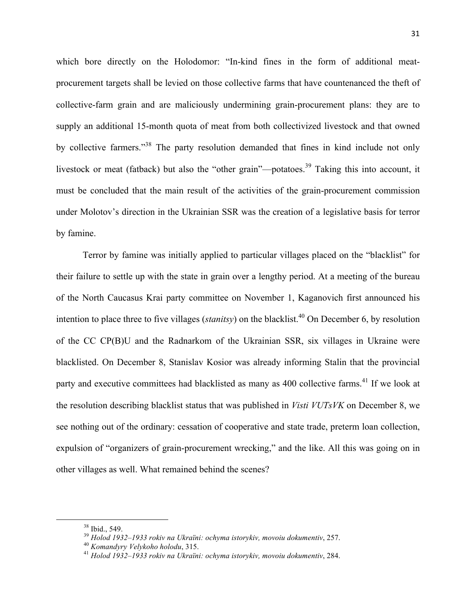which bore directly on the Holodomor: "In-kind fines in the form of additional meatprocurement targets shall be levied on those collective farms that have countenanced the theft of collective-farm grain and are maliciously undermining grain-procurement plans: they are to supply an additional 15-month quota of meat from both collectivized livestock and that owned by collective farmers."<sup>38</sup> The party resolution demanded that fines in kind include not only livestock or meat (fatback) but also the "other grain"—potatoes.<sup>39</sup> Taking this into account, it must be concluded that the main result of the activities of the grain-procurement commission under Molotov's direction in the Ukrainian SSR was the creation of a legislative basis for terror by famine.

Terror by famine was initially applied to particular villages placed on the "blacklist" for their failure to settle up with the state in grain over a lengthy period. At a meeting of the bureau of the North Caucasus Krai party committee on November 1, Kaganovich first announced his intention to place three to five villages (*stanitsy*) on the blacklist.<sup>40</sup> On December 6, by resolution of the CC CP(B)U and the Radnarkom of the Ukrainian SSR, six villages in Ukraine were blacklisted. On December 8, Stanislav Kosior was already informing Stalin that the provincial party and executive committees had blacklisted as many as 400 collective farms.<sup>41</sup> If we look at the resolution describing blacklist status that was published in *Visti VUTsVK* on December 8, we see nothing out of the ordinary: cessation of cooperative and state trade, preterm loan collection, expulsion of "organizers of grain-procurement wrecking," and the like. All this was going on in other villages as well. What remained behind the scenes?

<sup>&</sup>lt;sup>38</sup> Ibid., 549.<br><sup>39</sup> Holod 1932–1933 rokiv na Ukraïni: ochyma istorykiv, movoiu dokumentiv, 257.<br><sup>40</sup> Komandyry Velykoho holodu, 315.<br><sup>41</sup> Holod 1932–1933 rokiv na Ukraïni: ochyma istorykiv, movoiu dokumentiv, 284.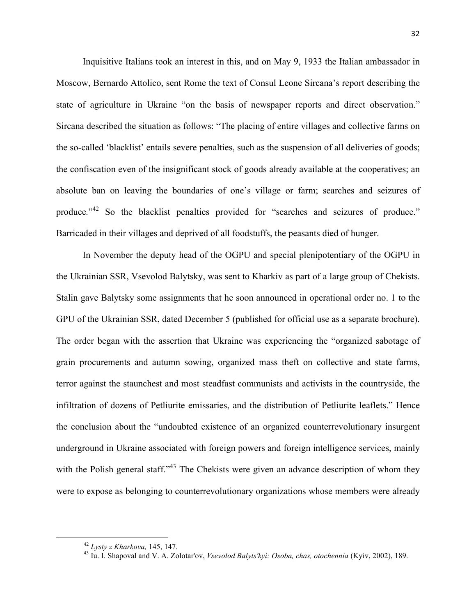Inquisitive Italians took an interest in this, and on May 9, 1933 the Italian ambassador in Moscow, Bernardo Attolico, sent Rome the text of Consul Leone Sircana's report describing the state of agriculture in Ukraine "on the basis of newspaper reports and direct observation." Sircana described the situation as follows: "The placing of entire villages and collective farms on the so-called 'blacklist' entails severe penalties, such as the suspension of all deliveries of goods; the confiscation even of the insignificant stock of goods already available at the cooperatives; an absolute ban on leaving the boundaries of one's village or farm; searches and seizures of produce."<sup>42</sup> So the blacklist penalties provided for "searches and seizures of produce." Barricaded in their villages and deprived of all foodstuffs, the peasants died of hunger.

In November the deputy head of the OGPU and special plenipotentiary of the OGPU in the Ukrainian SSR, Vsevolod Balytsky, was sent to Kharkiv as part of a large group of Chekists. Stalin gave Balytsky some assignments that he soon announced in operational order no. 1 to the GPU of the Ukrainian SSR, dated December 5 (published for official use as a separate brochure). The order began with the assertion that Ukraine was experiencing the "organized sabotage of grain procurements and autumn sowing, organized mass theft on collective and state farms, terror against the staunchest and most steadfast communists and activists in the countryside, the infiltration of dozens of Petliurite emissaries, and the distribution of Petliurite leaflets." Hence the conclusion about the "undoubted existence of an organized counterrevolutionary insurgent underground in Ukraine associated with foreign powers and foreign intelligence services, mainly with the Polish general staff."<sup>43</sup> The Chekists were given an advance description of whom they were to expose as belonging to counterrevolutionary organizations whose members were already

<sup>42</sup> *Lysty z Kharkova,* 145, 147. <sup>43</sup> Iu. I. Shapoval and V. A. Zolotar'ov, *Vsevolod Balyts'kyi: Osoba, chas, otochennia* (Kyiv, 2002), 189.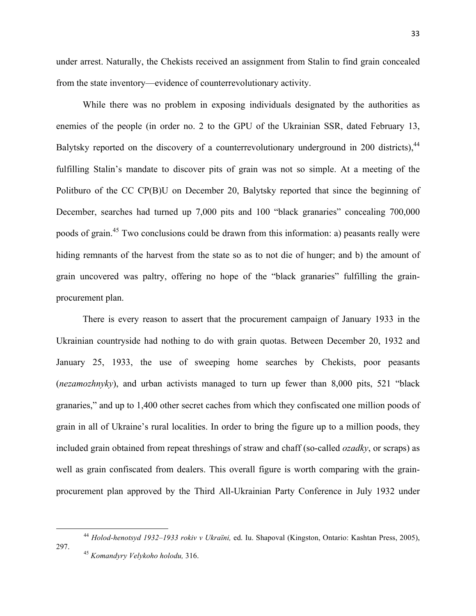under arrest. Naturally, the Chekists received an assignment from Stalin to find grain concealed from the state inventory—evidence of counterrevolutionary activity.

While there was no problem in exposing individuals designated by the authorities as enemies of the people (in order no. 2 to the GPU of the Ukrainian SSR, dated February 13, Balytsky reported on the discovery of a counterrevolutionary underground in 200 districts),<sup>44</sup> fulfilling Stalin's mandate to discover pits of grain was not so simple. At a meeting of the Politburo of the CC CP(B)U on December 20, Balytsky reported that since the beginning of December, searches had turned up 7,000 pits and 100 "black granaries" concealing 700,000 poods of grain.<sup>45</sup> Two conclusions could be drawn from this information: a) peasants really were hiding remnants of the harvest from the state so as to not die of hunger; and b) the amount of grain uncovered was paltry, offering no hope of the "black granaries" fulfilling the grainprocurement plan.

There is every reason to assert that the procurement campaign of January 1933 in the Ukrainian countryside had nothing to do with grain quotas. Between December 20, 1932 and January 25, 1933, the use of sweeping home searches by Chekists, poor peasants (*nezamozhnyky*), and urban activists managed to turn up fewer than 8,000 pits, 521 "black granaries," and up to 1,400 other secret caches from which they confiscated one million poods of grain in all of Ukraine's rural localities. In order to bring the figure up to a million poods, they included grain obtained from repeat threshings of straw and chaff (so-called *ozadky*, or scraps) as well as grain confiscated from dealers. This overall figure is worth comparing with the grainprocurement plan approved by the Third All-Ukrainian Party Conference in July 1932 under

<sup>44</sup> *Holod-henotsyd 1932–1933 rokiv v Ukraïni,* ed. Iu. Shapoval (Kingston, Ontario: Kashtan Press, 2005), 297. <sup>45</sup> *Komandyry Velykoho holodu,* 316.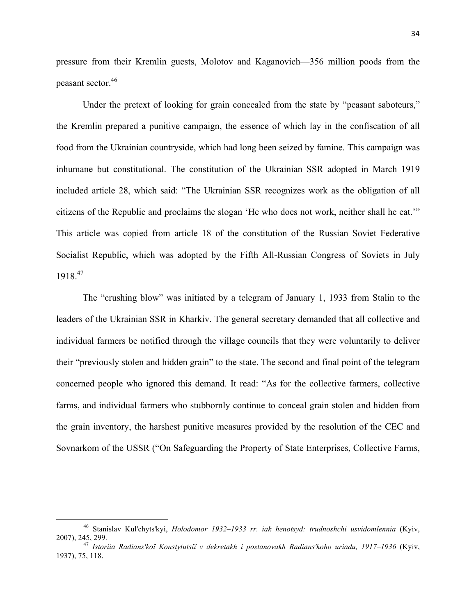pressure from their Kremlin guests, Molotov and Kaganovich—356 million poods from the peasant sector.46

Under the pretext of looking for grain concealed from the state by "peasant saboteurs," the Kremlin prepared a punitive campaign, the essence of which lay in the confiscation of all food from the Ukrainian countryside, which had long been seized by famine. This campaign was inhumane but constitutional. The constitution of the Ukrainian SSR adopted in March 1919 included article 28, which said: "The Ukrainian SSR recognizes work as the obligation of all citizens of the Republic and proclaims the slogan 'He who does not work, neither shall he eat.'" This article was copied from article 18 of the constitution of the Russian Soviet Federative Socialist Republic, which was adopted by the Fifth All-Russian Congress of Soviets in July 1918.<sup>47</sup>

The "crushing blow" was initiated by a telegram of January 1, 1933 from Stalin to the leaders of the Ukrainian SSR in Kharkiv. The general secretary demanded that all collective and individual farmers be notified through the village councils that they were voluntarily to deliver their "previously stolen and hidden grain" to the state. The second and final point of the telegram concerned people who ignored this demand. It read: "As for the collective farmers, collective farms, and individual farmers who stubbornly continue to conceal grain stolen and hidden from the grain inventory, the harshest punitive measures provided by the resolution of the CEC and Sovnarkom of the USSR ("On Safeguarding the Property of State Enterprises, Collective Farms,

<sup>46</sup> Stanislav Kul'chyts'kyi, *Holodomor 1932–1933 rr. iak henotsyd: trudnoshchi usvidomlennia* (Kyiv, 2007), 245, 299. <sup>47</sup> *Istoriia Radians'koï Konstytutsiï v dekretakh i postanovakh Radians'koho uriadu, 1917–1936* (Kyiv,

<sup>1937), 75, 118.</sup>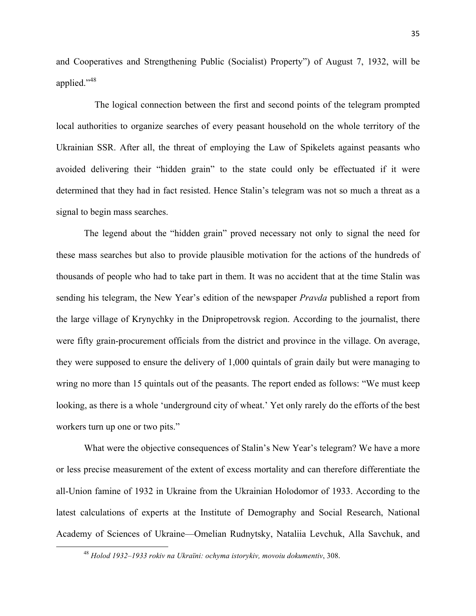and Cooperatives and Strengthening Public (Socialist) Property") of August 7, 1932, will be applied."<sup>48</sup>

The logical connection between the first and second points of the telegram prompted local authorities to organize searches of every peasant household on the whole territory of the Ukrainian SSR. After all, the threat of employing the Law of Spikelets against peasants who avoided delivering their "hidden grain" to the state could only be effectuated if it were determined that they had in fact resisted. Hence Stalin's telegram was not so much a threat as a signal to begin mass searches.

The legend about the "hidden grain" proved necessary not only to signal the need for these mass searches but also to provide plausible motivation for the actions of the hundreds of thousands of people who had to take part in them. It was no accident that at the time Stalin was sending his telegram, the New Year's edition of the newspaper *Pravda* published a report from the large village of Krynychky in the Dnipropetrovsk region. According to the journalist, there were fifty grain-procurement officials from the district and province in the village. On average, they were supposed to ensure the delivery of 1,000 quintals of grain daily but were managing to wring no more than 15 quintals out of the peasants. The report ended as follows: "We must keep looking, as there is a whole 'underground city of wheat.' Yet only rarely do the efforts of the best workers turn up one or two pits."

What were the objective consequences of Stalin's New Year's telegram? We have a more or less precise measurement of the extent of excess mortality and can therefore differentiate the all-Union famine of 1932 in Ukraine from the Ukrainian Holodomor of 1933. According to the latest calculations of experts at the Institute of Demography and Social Research, National Academy of Sciences of Ukraine—Omelian Rudnytsky, Nataliia Levchuk, Alla Savchuk, and

 

<sup>48</sup> *Holod 1932–1933 rokiv na Ukraïni: ochyma istorykiv, movoiu dokumentiv*, 308.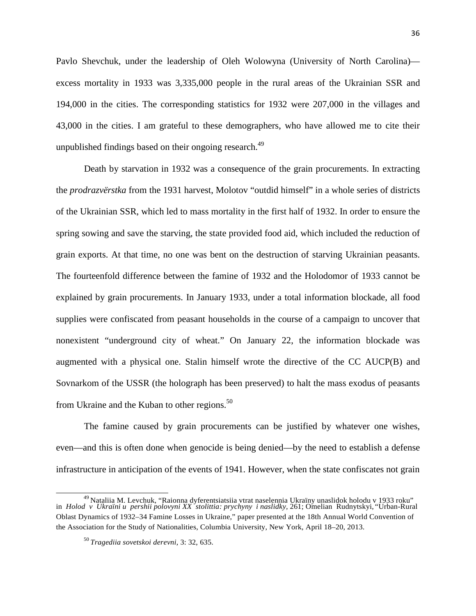Pavlo Shevchuk, under the leadership of Oleh Wolowyna (University of North Carolina) excess mortality in 1933 was 3,335,000 people in the rural areas of the Ukrainian SSR and 194,000 in the cities. The corresponding statistics for 1932 were 207,000 in the villages and 43,000 in the cities. I am grateful to these demographers, who have allowed me to cite their unpublished findings based on their ongoing research.<sup>49</sup>

Death by starvation in 1932 was a consequence of the grain procurements. In extracting the *prodrazvërstka* from the 1931 harvest, Molotov "outdid himself" in a whole series of districts of the Ukrainian SSR, which led to mass mortality in the first half of 1932. In order to ensure the spring sowing and save the starving, the state provided food aid, which included the reduction of grain exports. At that time, no one was bent on the destruction of starving Ukrainian peasants. The fourteenfold difference between the famine of 1932 and the Holodomor of 1933 cannot be explained by grain procurements. In January 1933, under a total information blockade, all food supplies were confiscated from peasant households in the course of a campaign to uncover that nonexistent "underground city of wheat." On January 22, the information blockade was augmented with a physical one. Stalin himself wrote the directive of the CC AUCP(B) and Sovnarkom of the USSR (the holograph has been preserved) to halt the mass exodus of peasants from Ukraine and the Kuban to other regions.<sup>50</sup>

The famine caused by grain procurements can be justified by whatever one wishes, even—and this is often done when genocide is being denied—by the need to establish a defense infrastructure in anticipation of the events of 1941. However, when the state confiscates not grain

<sup>49</sup> Nataliia M. Levchuk, "Raionna dyferentsiatsiia vtrat naselennia Ukraïny unaslidok holodu v 1933 roku" in *Holod v Ukraïni u pershii polovyni XX stolittia: prychyny i naslidky,* 261; Omelian Rudnytskyi, "Urban-Rural Oblast Dynamics of 1932–34 Famine Losses in Ukraine," paper presented at the 18th Annual World Convention of the Association for the Study of Nationalities, Columbia University, New York, April 18–20, 2013.

<sup>50</sup>*Tragediia sovetskoi derevni,* 3: 32, 635.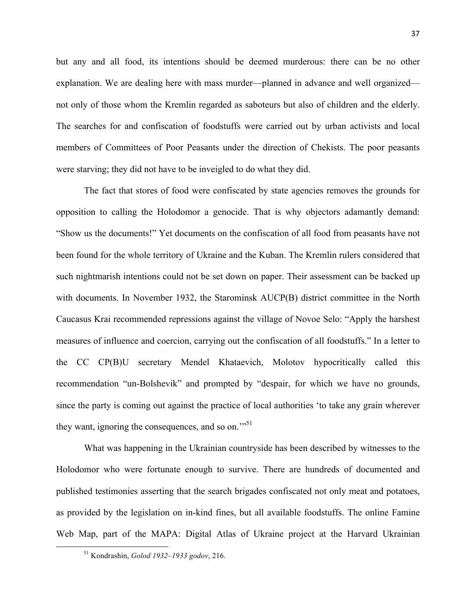but any and all food, its intentions should be deemed murderous: there can be no other explanation. We are dealing here with mass murder—planned in advance and well organized not only of those whom the Kremlin regarded as saboteurs but also of children and the elderly. The searches for and confiscation of foodstuffs were carried out by urban activists and local members of Committees of Poor Peasants under the direction of Chekists. The poor peasants were starving; they did not have to be inveigled to do what they did.

The fact that stores of food were confiscated by state agencies removes the grounds for opposition to calling the Holodomor a genocide. That is why objectors adamantly demand: "Show us the documents!" Yet documents on the confiscation of all food from peasants have not been found for the whole territory of Ukraine and the Kuban. The Kremlin rulers considered that such nightmarish intentions could not be set down on paper. Their assessment can be backed up with documents. In November 1932, the Starominsk AUCP(B) district committee in the North Caucasus Krai recommended repressions against the village of Novoe Selo: "Apply the harshest measures of influence and coercion, carrying out the confiscation of all foodstuffs." In a letter to the CC CP(B)U secretary Mendel Khataevich, Molotov hypocritically called this recommendation "un-Bolshevik" and prompted by "despair, for which we have no grounds, since the party is coming out against the practice of local authorities 'to take any grain wherever they want, ignoring the consequences, and so on."<sup>51</sup>

What was happening in the Ukrainian countryside has been described by witnesses to the Holodomor who were fortunate enough to survive. There are hundreds of documented and published testimonies asserting that the search brigades confiscated not only meat and potatoes, as provided by the legislation on in-kind fines, but all available foodstuffs. The online Famine Web Map, part of the MAPA: Digital Atlas of Ukraine project at the Harvard Ukrainian

 

<sup>51</sup> Kondrashin, *Golod 1932–1933 godov*, 216.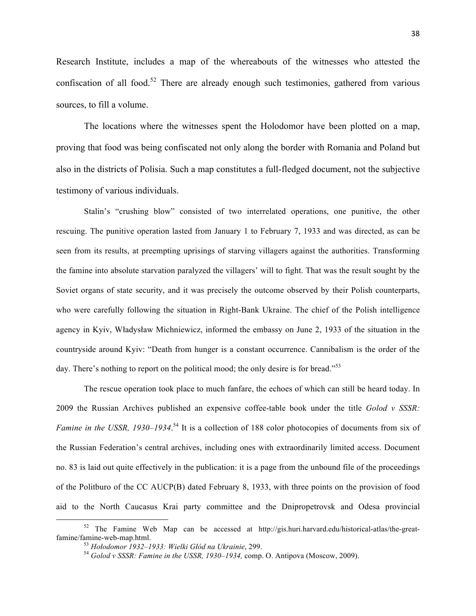Research Institute, includes a map of the whereabouts of the witnesses who attested the confiscation of all food.<sup>52</sup> There are already enough such testimonies, gathered from various sources, to fill a volume.

The locations where the witnesses spent the Holodomor have been plotted on a map, proving that food was being confiscated not only along the border with Romania and Poland but also in the districts of Polisia. Such a map constitutes a full-fledged document, not the subjective testimony of various individuals.

Stalin's "crushing blow" consisted of two interrelated operations, one punitive, the other rescuing. The punitive operation lasted from January 1 to February 7, 1933 and was directed, as can be seen from its results, at preempting uprisings of starving villagers against the authorities. Transforming the famine into absolute starvation paralyzed the villagers' will to fight. That was the result sought by the Soviet organs of state security, and it was precisely the outcome observed by their Polish counterparts, who were carefully following the situation in Right-Bank Ukraine. The chief of the Polish intelligence agency in Kyiv, Władysław Michniewicz, informed the embassy on June 2, 1933 of the situation in the countryside around Kyiv: "Death from hunger is a constant occurrence. Cannibalism is the order of the day. There's nothing to report on the political mood; the only desire is for bread."<sup>53</sup>

The rescue operation took place to much fanfare, the echoes of which can still be heard today. In 2009 the Russian Archives published an expensive coffee-table book under the title *Golod v SSSR:*  Famine in the USSR, 1930–1934.<sup>54</sup> It is a collection of 188 color photocopies of documents from six of the Russian Federation's central archives, including ones with extraordinarily limited access. Document no. 83 is laid out quite effectively in the publication: it is a page from the unbound file of the proceedings of the Politburo of the CC AUCP(B) dated February 8, 1933, with three points on the provision of food aid to the North Caucasus Krai party committee and the Dnipropetrovsk and Odesa provincial

 $52$  The Famine Web Map can be accessed at http://gis.huri.harvard.edu/historical-atlas/the-greatfamine/famine-web-map.html. <sup>53</sup> *Hołodomor 1932–1933: Wielki Głód na Ukrainie*, 299. <sup>54</sup> *Golod v SSSR: Famine in the USSR, 1930–1934,* comp. O. Antipova (Moscow, 2009).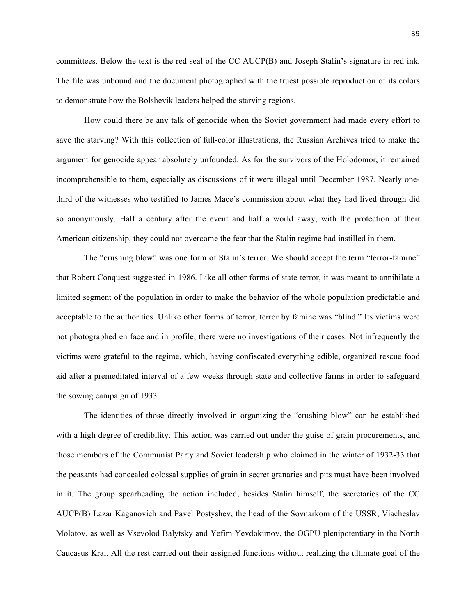committees. Below the text is the red seal of the CC AUCP(B) and Joseph Stalin's signature in red ink. The file was unbound and the document photographed with the truest possible reproduction of its colors to demonstrate how the Bolshevik leaders helped the starving regions.

How could there be any talk of genocide when the Soviet government had made every effort to save the starving? With this collection of full-color illustrations, the Russian Archives tried to make the argument for genocide appear absolutely unfounded. As for the survivors of the Holodomor, it remained incomprehensible to them, especially as discussions of it were illegal until December 1987. Nearly onethird of the witnesses who testified to James Mace's commission about what they had lived through did so anonymously. Half a century after the event and half a world away, with the protection of their American citizenship, they could not overcome the fear that the Stalin regime had instilled in them.

The "crushing blow" was one form of Stalin's terror. We should accept the term "terror-famine" that Robert Conquest suggested in 1986. Like all other forms of state terror, it was meant to annihilate a limited segment of the population in order to make the behavior of the whole population predictable and acceptable to the authorities. Unlike other forms of terror, terror by famine was "blind." Its victims were not photographed en face and in profile; there were no investigations of their cases. Not infrequently the victims were grateful to the regime, which, having confiscated everything edible, organized rescue food aid after a premeditated interval of a few weeks through state and collective farms in order to safeguard the sowing campaign of 1933.

The identities of those directly involved in organizing the "crushing blow" can be established with a high degree of credibility. This action was carried out under the guise of grain procurements, and those members of the Communist Party and Soviet leadership who claimed in the winter of 1932-33 that the peasants had concealed colossal supplies of grain in secret granaries and pits must have been involved in it. The group spearheading the action included, besides Stalin himself, the secretaries of the CC AUCP(B) Lazar Kaganovich and Pavel Postyshev, the head of the Sovnarkom of the USSR, Viacheslav Molotov, as well as Vsevolod Balytsky and Yefim Yevdokimov, the OGPU plenipotentiary in the North Caucasus Krai. All the rest carried out their assigned functions without realizing the ultimate goal of the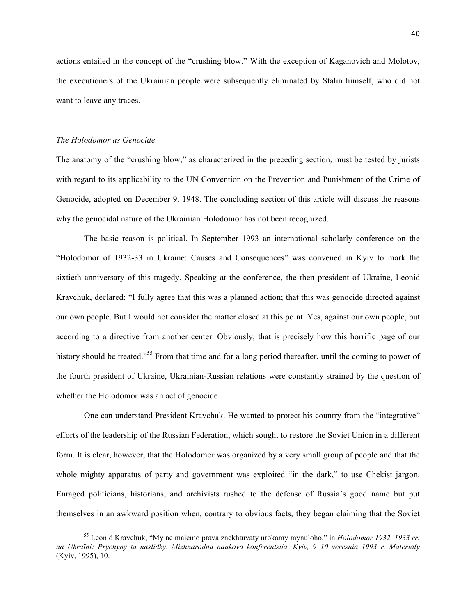actions entailed in the concept of the "crushing blow." With the exception of Kaganovich and Molotov, the executioners of the Ukrainian people were subsequently eliminated by Stalin himself, who did not want to leave any traces.

#### *The Holodomor as Genocide*

<u> Andrew Maria (1989)</u>

The anatomy of the "crushing blow," as characterized in the preceding section, must be tested by jurists with regard to its applicability to the UN Convention on the Prevention and Punishment of the Crime of Genocide, adopted on December 9, 1948. The concluding section of this article will discuss the reasons why the genocidal nature of the Ukrainian Holodomor has not been recognized.

The basic reason is political. In September 1993 an international scholarly conference on the "Holodomor of 1932-33 in Ukraine: Causes and Consequences" was convened in Kyiv to mark the sixtieth anniversary of this tragedy. Speaking at the conference, the then president of Ukraine, Leonid Kravchuk, declared: "I fully agree that this was a planned action; that this was genocide directed against our own people. But I would not consider the matter closed at this point. Yes, against our own people, but according to a directive from another center. Obviously, that is precisely how this horrific page of our history should be treated."<sup>55</sup> From that time and for a long period thereafter, until the coming to power of the fourth president of Ukraine, Ukrainian-Russian relations were constantly strained by the question of whether the Holodomor was an act of genocide.

One can understand President Kravchuk. He wanted to protect his country from the "integrative" efforts of the leadership of the Russian Federation, which sought to restore the Soviet Union in a different form. It is clear, however, that the Holodomor was organized by a very small group of people and that the whole mighty apparatus of party and government was exploited "in the dark," to use Chekist jargon. Enraged politicians, historians, and archivists rushed to the defense of Russia's good name but put themselves in an awkward position when, contrary to obvious facts, they began claiming that the Soviet

<sup>55</sup> Leonid Kravchuk, "My ne maiemo prava znekhtuvaty urokamy mynuloho," in *Holodomor 1932–1933 rr. na Ukraïni: Prychyny ta naslidky. Mizhnarodna naukova konferentsiia. Kyiv, 9–10 veresnia 1993 r. Materialy* (Kyiv, 1995), 10.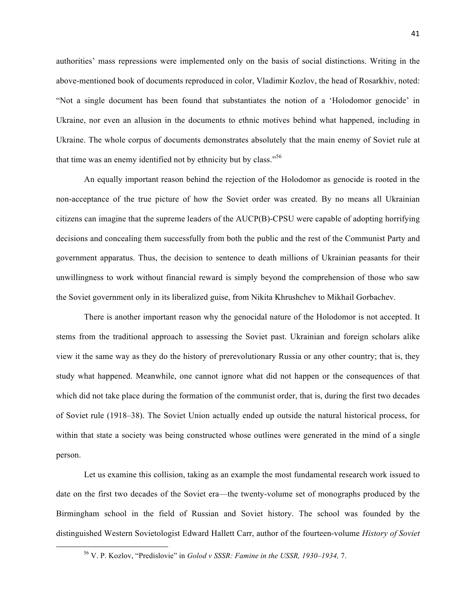authorities' mass repressions were implemented only on the basis of social distinctions. Writing in the above-mentioned book of documents reproduced in color, Vladimir Kozlov, the head of Rosarkhiv, noted: "Not a single document has been found that substantiates the notion of a 'Holodomor genocide' in Ukraine, nor even an allusion in the documents to ethnic motives behind what happened, including in Ukraine. The whole corpus of documents demonstrates absolutely that the main enemy of Soviet rule at that time was an enemy identified not by ethnicity but by class."<sup>56</sup>

An equally important reason behind the rejection of the Holodomor as genocide is rooted in the non-acceptance of the true picture of how the Soviet order was created. By no means all Ukrainian citizens can imagine that the supreme leaders of the AUCP(B)-CPSU were capable of adopting horrifying decisions and concealing them successfully from both the public and the rest of the Communist Party and government apparatus. Thus, the decision to sentence to death millions of Ukrainian peasants for their unwillingness to work without financial reward is simply beyond the comprehension of those who saw the Soviet government only in its liberalized guise, from Nikita Khrushchev to Mikhail Gorbachev.

There is another important reason why the genocidal nature of the Holodomor is not accepted. It stems from the traditional approach to assessing the Soviet past. Ukrainian and foreign scholars alike view it the same way as they do the history of prerevolutionary Russia or any other country; that is, they study what happened. Meanwhile, one cannot ignore what did not happen or the consequences of that which did not take place during the formation of the communist order, that is, during the first two decades of Soviet rule (1918–38). The Soviet Union actually ended up outside the natural historical process, for within that state a society was being constructed whose outlines were generated in the mind of a single person.

Let us examine this collision, taking as an example the most fundamental research work issued to date on the first two decades of the Soviet era—the twenty-volume set of monographs produced by the Birmingham school in the field of Russian and Soviet history. The school was founded by the distinguished Western Sovietologist Edward Hallett Carr, author of the fourteen-volume *History of Soviet* 

 

<sup>56</sup> V. P. Kozlov, "Predislovie" in *Golod v SSSR: Famine in the USSR, 1930–1934,* 7.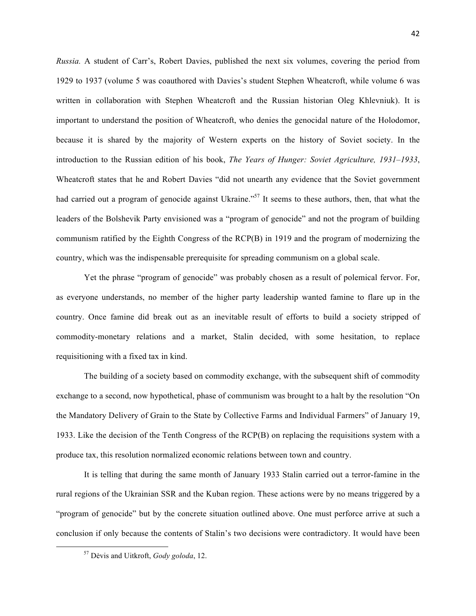*Russia.* A student of Carr's, Robert Davies, published the next six volumes, covering the period from 1929 to 1937 (volume 5 was coauthored with Davies's student Stephen Wheatcroft, while volume 6 was written in collaboration with Stephen Wheatcroft and the Russian historian Oleg Khlevniuk). It is important to understand the position of Wheatcroft, who denies the genocidal nature of the Holodomor, because it is shared by the majority of Western experts on the history of Soviet society. In the introduction to the Russian edition of his book, *The Years of Hunger: Soviet Agriculture, 1931–1933*, Wheatcroft states that he and Robert Davies "did not unearth any evidence that the Soviet government had carried out a program of genocide against Ukraine."<sup>57</sup> It seems to these authors, then, that what the leaders of the Bolshevik Party envisioned was a "program of genocide" and not the program of building communism ratified by the Eighth Congress of the RCP(B) in 1919 and the program of modernizing the country, which was the indispensable prerequisite for spreading communism on a global scale.

Yet the phrase "program of genocide" was probably chosen as a result of polemical fervor. For, as everyone understands, no member of the higher party leadership wanted famine to flare up in the country. Once famine did break out as an inevitable result of efforts to build a society stripped of commodity-monetary relations and a market, Stalin decided, with some hesitation, to replace requisitioning with a fixed tax in kind.

The building of a society based on commodity exchange, with the subsequent shift of commodity exchange to a second, now hypothetical, phase of communism was brought to a halt by the resolution "On the Mandatory Delivery of Grain to the State by Collective Farms and Individual Farmers" of January 19, 1933. Like the decision of the Tenth Congress of the RCP(B) on replacing the requisitions system with a produce tax, this resolution normalized economic relations between town and country.

It is telling that during the same month of January 1933 Stalin carried out a terror-famine in the rural regions of the Ukrainian SSR and the Kuban region. These actions were by no means triggered by a "program of genocide" but by the concrete situation outlined above. One must perforce arrive at such a conclusion if only because the contents of Stalin's two decisions were contradictory. It would have been

 

<sup>57</sup> Dėvis and Uitkroft, *Gody goloda*, 12.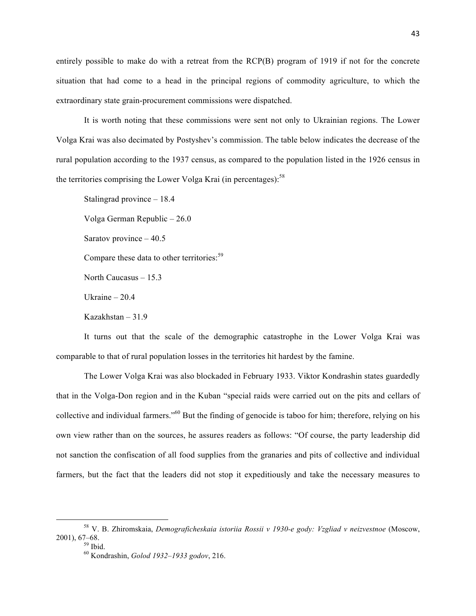entirely possible to make do with a retreat from the RCP(B) program of 1919 if not for the concrete situation that had come to a head in the principal regions of commodity agriculture, to which the extraordinary state grain-procurement commissions were dispatched.

It is worth noting that these commissions were sent not only to Ukrainian regions. The Lower Volga Krai was also decimated by Postyshev's commission. The table below indicates the decrease of the rural population according to the 1937 census, as compared to the population listed in the 1926 census in the territories comprising the Lower Volga Krai (in percentages): $58$ 

Stalingrad province – 18.4 Volga German Republic – 26.0 Saratov province – 40.5 Compare these data to other territories:<sup>59</sup> North Caucasus – 15.3 Ukraine – 20.4 Kazakhstan – 31.9

It turns out that the scale of the demographic catastrophe in the Lower Volga Krai was comparable to that of rural population losses in the territories hit hardest by the famine.

The Lower Volga Krai was also blockaded in February 1933. Viktor Kondrashin states guardedly that in the Volga-Don region and in the Kuban "special raids were carried out on the pits and cellars of collective and individual farmers."60 But the finding of genocide is taboo for him; therefore, relying on his own view rather than on the sources, he assures readers as follows: "Of course, the party leadership did not sanction the confiscation of all food supplies from the granaries and pits of collective and individual farmers, but the fact that the leaders did not stop it expeditiously and take the necessary measures to

<u> Andrew Maria (1989)</u>

<sup>58</sup> V. B. Zhiromskaia, *Demograficheskaia istoriia Rossii v 1930-e gody: Vzgliad v neizvestnoe* (Moscow, 2001), 67–68. <sup>59</sup> Ibid. <sup>60</sup> Kondrashin, *Golod 1932–1933 godov*, 216.